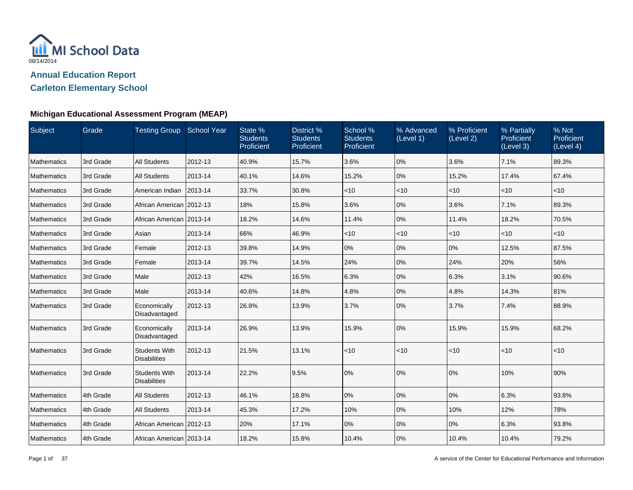

**Carleton Elementary School**

| Subject            | Grade     | Testing Group School Year                   |         | State %<br><b>Students</b><br>Proficient | District %<br><b>Students</b><br>Proficient | School %<br><b>Students</b><br>Proficient | % Advanced<br>(Level 1) | % Proficient<br>(Level 2) | % Partially<br>Proficient<br>(Level 3) | % Not<br>Proficient<br>(Level 4) |
|--------------------|-----------|---------------------------------------------|---------|------------------------------------------|---------------------------------------------|-------------------------------------------|-------------------------|---------------------------|----------------------------------------|----------------------------------|
| <b>Mathematics</b> | 3rd Grade | <b>All Students</b>                         | 2012-13 | 40.9%                                    | 15.7%                                       | 3.6%                                      | 0%                      | 3.6%                      | 7.1%                                   | 89.3%                            |
| Mathematics        | 3rd Grade | <b>All Students</b>                         | 2013-14 | 40.1%                                    | 14.6%                                       | 15.2%                                     | 0%                      | 15.2%                     | 17.4%                                  | 67.4%                            |
| Mathematics        | 3rd Grade | American Indian                             | 2013-14 | 33.7%                                    | 30.8%                                       | $<$ 10                                    | $<$ 10                  | $<$ 10                    | $ $ < 10                               | $ $ < 10                         |
| <b>Mathematics</b> | 3rd Grade | African American 2012-13                    |         | 18%                                      | 15.8%                                       | 3.6%                                      | 0%                      | 3.6%                      | 7.1%                                   | 89.3%                            |
| Mathematics        | 3rd Grade | African American 2013-14                    |         | 18.2%                                    | 14.6%                                       | 11.4%                                     | 0%                      | 11.4%                     | 18.2%                                  | 70.5%                            |
| Mathematics        | 3rd Grade | Asian                                       | 2013-14 | 66%                                      | 46.9%                                       | < 10                                      | $<$ 10                  | <10                       | $ $ < 10                               | $ $ < 10                         |
| Mathematics        | 3rd Grade | Female                                      | 2012-13 | 39.8%                                    | 14.9%                                       | 0%                                        | 0%                      | 0%                        | 12.5%                                  | 87.5%                            |
| Mathematics        | 3rd Grade | Female                                      | 2013-14 | 39.7%                                    | 14.5%                                       | 24%                                       | 0%                      | 24%                       | 20%                                    | 56%                              |
| Mathematics        | 3rd Grade | Male                                        | 2012-13 | 42%                                      | 16.5%                                       | 6.3%                                      | 0%                      | 6.3%                      | 3.1%                                   | 90.6%                            |
| Mathematics        | 3rd Grade | Male                                        | 2013-14 | 40.6%                                    | 14.8%                                       | 4.8%                                      | 0%                      | 4.8%                      | 14.3%                                  | 81%                              |
| Mathematics        | 3rd Grade | Economically<br>Disadvantaged               | 2012-13 | 26.8%                                    | 13.9%                                       | 3.7%                                      | 0%                      | 3.7%                      | 7.4%                                   | 88.9%                            |
| Mathematics        | 3rd Grade | Economically<br>Disadvantaged               | 2013-14 | 26.9%                                    | 13.9%                                       | 15.9%                                     | 0%                      | 15.9%                     | 15.9%                                  | 68.2%                            |
| Mathematics        | 3rd Grade | <b>Students With</b><br><b>Disabilities</b> | 2012-13 | 21.5%                                    | 13.1%                                       | < 10                                      | <10                     | $<$ 10                    | < 10                                   | $ $ < 10                         |
| Mathematics        | 3rd Grade | <b>Students With</b><br><b>Disabilities</b> | 2013-14 | 22.2%                                    | 9.5%                                        | 0%                                        | 0%                      | 0%                        | 10%                                    | 90%                              |
| Mathematics        | 4th Grade | <b>All Students</b>                         | 2012-13 | 46.1%                                    | 18.8%                                       | 0%                                        | 0%                      | 0%                        | 6.3%                                   | 93.8%                            |
| <b>Mathematics</b> | 4th Grade | <b>All Students</b>                         | 2013-14 | 45.3%                                    | 17.2%                                       | 10%                                       | 0%                      | 10%                       | 12%                                    | 78%                              |
| Mathematics        | 4th Grade | African American 2012-13                    |         | 20%                                      | 17.1%                                       | 0%                                        | 0%                      | 0%                        | 6.3%                                   | 93.8%                            |
| Mathematics        | 4th Grade | African American   2013-14                  |         | 18.2%                                    | 15.8%                                       | 10.4%                                     | 0%                      | 10.4%                     | 10.4%                                  | 79.2%                            |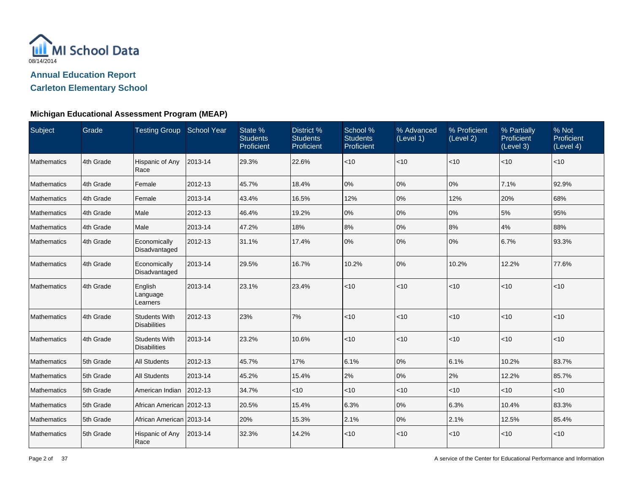

**Carleton Elementary School**

| Subject            | Grade     | Testing Group School Year                   |         | State %<br><b>Students</b><br>Proficient | District %<br><b>Students</b><br>Proficient | School %<br><b>Students</b><br>Proficient | % Advanced<br>(Level 1) | % Proficient<br>(Level 2) | % Partially<br>Proficient<br>(Level 3) | % Not<br>Proficient<br>(Level 4) |
|--------------------|-----------|---------------------------------------------|---------|------------------------------------------|---------------------------------------------|-------------------------------------------|-------------------------|---------------------------|----------------------------------------|----------------------------------|
| Mathematics        | 4th Grade | Hispanic of Any<br>Race                     | 2013-14 | 29.3%                                    | 22.6%                                       | $<10$                                     | <10                     | < 10                      | < 10                                   | $<$ 10                           |
| Mathematics        | 4th Grade | Female                                      | 2012-13 | 45.7%                                    | 18.4%                                       | 0%                                        | 0%                      | 0%                        | 7.1%                                   | 92.9%                            |
| Mathematics        | 4th Grade | Female                                      | 2013-14 | 43.4%                                    | 16.5%                                       | 12%                                       | 0%                      | 12%                       | 20%                                    | 68%                              |
| Mathematics        | 4th Grade | Male                                        | 2012-13 | 46.4%                                    | 19.2%                                       | 0%                                        | 0%                      | 0%                        | 5%                                     | 95%                              |
| Mathematics        | 4th Grade | Male                                        | 2013-14 | 47.2%                                    | 18%                                         | 8%                                        | 0%                      | 8%                        | 4%                                     | 88%                              |
| Mathematics        | 4th Grade | Economically<br>Disadvantaged               | 2012-13 | 31.1%                                    | 17.4%                                       | 0%                                        | 0%                      | 0%                        | 6.7%                                   | 93.3%                            |
| Mathematics        | 4th Grade | Economically<br>Disadvantaged               | 2013-14 | 29.5%                                    | 16.7%                                       | 10.2%                                     | 0%                      | 10.2%                     | 12.2%                                  | 77.6%                            |
| Mathematics        | 4th Grade | English<br>Language<br>Learners             | 2013-14 | 23.1%                                    | 23.4%                                       | $<10$                                     | < 10                    | < 10                      | $<$ 10                                 | $<$ 10                           |
| Mathematics        | 4th Grade | <b>Students With</b><br><b>Disabilities</b> | 2012-13 | 23%                                      | 7%                                          | $<10$                                     | < 10                    | $<$ 10                    | < 10                                   | < 10                             |
| <b>Mathematics</b> | 4th Grade | <b>Students With</b><br><b>Disabilities</b> | 2013-14 | 23.2%                                    | 10.6%                                       | < 10                                      | < 10                    | $ $ < 10                  | $<$ 10                                 | $<$ 10                           |
| Mathematics        | 5th Grade | <b>All Students</b>                         | 2012-13 | 45.7%                                    | 17%                                         | 6.1%                                      | 0%                      | 6.1%                      | 10.2%                                  | 83.7%                            |
| <b>Mathematics</b> | 5th Grade | <b>All Students</b>                         | 2013-14 | 45.2%                                    | 15.4%                                       | 2%                                        | 0%                      | 2%                        | 12.2%                                  | 85.7%                            |
| Mathematics        | 5th Grade | American Indian                             | 2012-13 | 34.7%                                    | <10                                         | $<10$                                     | < 10                    | $<$ 10                    | $<$ 10                                 | $<$ 10                           |
| Mathematics        | 5th Grade | African American 2012-13                    |         | 20.5%                                    | 15.4%                                       | 6.3%                                      | 0%                      | 6.3%                      | 10.4%                                  | 83.3%                            |
| Mathematics        | 5th Grade | African American 2013-14                    |         | 20%                                      | 15.3%                                       | 2.1%                                      | 0%                      | 2.1%                      | 12.5%                                  | 85.4%                            |
| <b>Mathematics</b> | 5th Grade | Hispanic of Any<br>Race                     | 2013-14 | 32.3%                                    | 14.2%                                       | $<10$                                     | < 10                    | $<$ 10                    | $<$ 10                                 | $<$ 10                           |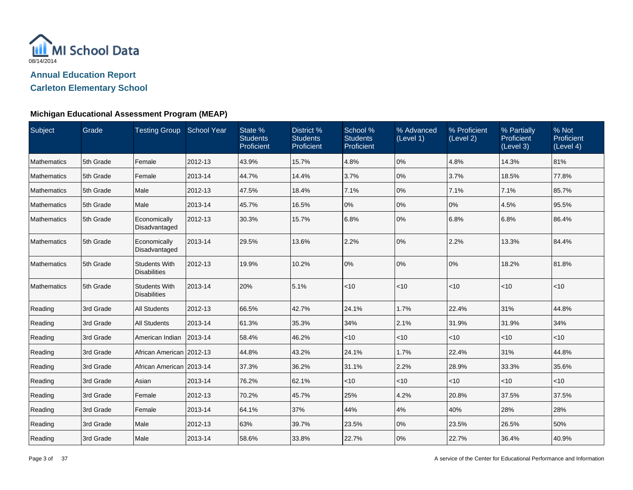

**Carleton Elementary School**

| Subject            | Grade     | Testing Group School Year                   |         | State %<br><b>Students</b><br>Proficient | District %<br><b>Students</b><br>Proficient | School %<br><b>Students</b><br>Proficient | % Advanced<br>(Level 1) | % Proficient<br>(Level 2) | % Partially<br>Proficient<br>(Level 3) | % Not<br>Proficient<br>(Level 4) |
|--------------------|-----------|---------------------------------------------|---------|------------------------------------------|---------------------------------------------|-------------------------------------------|-------------------------|---------------------------|----------------------------------------|----------------------------------|
| <b>Mathematics</b> | 5th Grade | Female                                      | 2012-13 | 43.9%                                    | 15.7%                                       | 4.8%                                      | 0%                      | 4.8%                      | 14.3%                                  | 81%                              |
| <b>Mathematics</b> | 5th Grade | Female                                      | 2013-14 | 44.7%                                    | 14.4%                                       | 3.7%                                      | 0%                      | 3.7%                      | 18.5%                                  | 77.8%                            |
| Mathematics        | 5th Grade | Male                                        | 2012-13 | 47.5%                                    | 18.4%                                       | 7.1%                                      | 0%                      | 7.1%                      | 7.1%                                   | 85.7%                            |
| <b>Mathematics</b> | 5th Grade | Male                                        | 2013-14 | 45.7%                                    | 16.5%                                       | 0%                                        | 0%                      | 0%                        | 4.5%                                   | 95.5%                            |
| <b>Mathematics</b> | 5th Grade | Economically<br>Disadvantaged               | 2012-13 | 30.3%                                    | 15.7%                                       | 6.8%                                      | 0%                      | 6.8%                      | 6.8%                                   | 86.4%                            |
| <b>Mathematics</b> | 5th Grade | Economically<br>Disadvantaged               | 2013-14 | 29.5%                                    | 13.6%                                       | 2.2%                                      | 0%                      | 2.2%                      | 13.3%                                  | 84.4%                            |
| Mathematics        | 5th Grade | <b>Students With</b><br><b>Disabilities</b> | 2012-13 | 19.9%                                    | 10.2%                                       | 0%                                        | 0%                      | 0%                        | 18.2%                                  | 81.8%                            |
| <b>Mathematics</b> | 5th Grade | <b>Students With</b><br><b>Disabilities</b> | 2013-14 | 20%                                      | 5.1%                                        | $<10$                                     | < 10                    | $ $ < 10                  | $<$ 10                                 | < 10                             |
| Reading            | 3rd Grade | <b>All Students</b>                         | 2012-13 | 66.5%                                    | 42.7%                                       | 24.1%                                     | 1.7%                    | 22.4%                     | 31%                                    | 44.8%                            |
| Reading            | 3rd Grade | <b>All Students</b>                         | 2013-14 | 61.3%                                    | 35.3%                                       | 34%                                       | 2.1%                    | 31.9%                     | 31.9%                                  | 34%                              |
| Reading            | 3rd Grade | American Indian                             | 2013-14 | 58.4%                                    | 46.2%                                       | < 10                                      | $<$ 10                  | < 10                      | < 10                                   | $<$ 10                           |
| Reading            | 3rd Grade | African American   2012-13                  |         | 44.8%                                    | 43.2%                                       | 24.1%                                     | 1.7%                    | 22.4%                     | 31%                                    | 44.8%                            |
| Reading            | 3rd Grade | African American 2013-14                    |         | 37.3%                                    | 36.2%                                       | 31.1%                                     | 2.2%                    | 28.9%                     | 33.3%                                  | 35.6%                            |
| Reading            | 3rd Grade | Asian                                       | 2013-14 | 76.2%                                    | 62.1%                                       | < 10                                      | $<$ 10                  | $<$ 10                    | $<$ 10                                 | $<$ 10                           |
| Reading            | 3rd Grade | Female                                      | 2012-13 | 70.2%                                    | 45.7%                                       | 25%                                       | 4.2%                    | 20.8%                     | 37.5%                                  | 37.5%                            |
| Reading            | 3rd Grade | Female                                      | 2013-14 | 64.1%                                    | 37%                                         | 44%                                       | 4%                      | 40%                       | 28%                                    | 28%                              |
| Reading            | 3rd Grade | Male                                        | 2012-13 | 63%                                      | 39.7%                                       | 23.5%                                     | 0%                      | 23.5%                     | 26.5%                                  | 50%                              |
| Reading            | 3rd Grade | Male                                        | 2013-14 | 58.6%                                    | 33.8%                                       | 22.7%                                     | 0%                      | 22.7%                     | 36.4%                                  | 40.9%                            |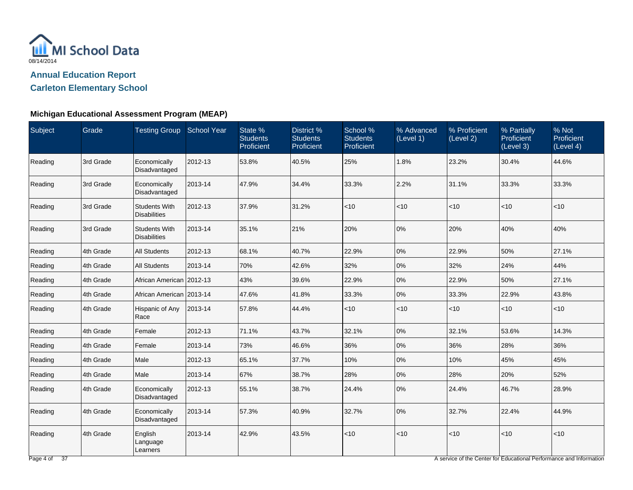

**Carleton Elementary School**

### **Michigan Educational Assessment Program (MEAP)**

| Subject | Grade     | Testing Group School Year                   |         | State %<br><b>Students</b><br>Proficient | District %<br><b>Students</b><br>Proficient | School %<br><b>Students</b><br>Proficient | % Advanced<br>(Level 1) | % Proficient<br>(Level 2) | % Partially<br><b>Proficient</b><br>(Level 3) | % Not<br>Proficient<br>(Level 4) |
|---------|-----------|---------------------------------------------|---------|------------------------------------------|---------------------------------------------|-------------------------------------------|-------------------------|---------------------------|-----------------------------------------------|----------------------------------|
| Reading | 3rd Grade | Economically<br>Disadvantaged               | 2012-13 | 53.8%                                    | 40.5%                                       | 25%                                       | 1.8%                    | 23.2%                     | 30.4%                                         | 44.6%                            |
| Reading | 3rd Grade | Economically<br>Disadvantaged               | 2013-14 | 47.9%                                    | 34.4%                                       | 33.3%                                     | 2.2%                    | 31.1%                     | 33.3%                                         | 33.3%                            |
| Reading | 3rd Grade | <b>Students With</b><br><b>Disabilities</b> | 2012-13 | 37.9%                                    | 31.2%                                       | < 10                                      | < 10                    | $<$ 10                    | $<$ 10                                        | < 10                             |
| Reading | 3rd Grade | <b>Students With</b><br><b>Disabilities</b> | 2013-14 | 35.1%                                    | 21%                                         | 20%                                       | 0%                      | 20%                       | 40%                                           | 40%                              |
| Reading | 4th Grade | <b>All Students</b>                         | 2012-13 | 68.1%                                    | 40.7%                                       | 22.9%                                     | 0%                      | 22.9%                     | 50%                                           | 27.1%                            |
| Reading | 4th Grade | <b>All Students</b>                         | 2013-14 | 70%                                      | 42.6%                                       | 32%                                       | 0%                      | 32%                       | 24%                                           | 44%                              |
| Reading | 4th Grade | African American   2012-13                  |         | 43%                                      | 39.6%                                       | 22.9%                                     | 0%                      | 22.9%                     | 50%                                           | 27.1%                            |
| Reading | 4th Grade | African American   2013-14                  |         | 47.6%                                    | 41.8%                                       | 33.3%                                     | 0%                      | 33.3%                     | 22.9%                                         | 43.8%                            |
| Reading | 4th Grade | Hispanic of Any<br>Race                     | 2013-14 | 57.8%                                    | 44.4%                                       | $<10$                                     | $<$ 10                  | $<$ 10                    | < 10                                          | $<$ 10                           |
| Reading | 4th Grade | Female                                      | 2012-13 | 71.1%                                    | 43.7%                                       | 32.1%                                     | 0%                      | 32.1%                     | 53.6%                                         | 14.3%                            |
| Reading | 4th Grade | Female                                      | 2013-14 | 73%                                      | 46.6%                                       | 36%                                       | 0%                      | 36%                       | 28%                                           | 36%                              |
| Reading | 4th Grade | Male                                        | 2012-13 | 65.1%                                    | 37.7%                                       | 10%                                       | 0%                      | 10%                       | 45%                                           | 45%                              |
| Reading | 4th Grade | Male                                        | 2013-14 | 67%                                      | 38.7%                                       | 28%                                       | $0\%$                   | 28%                       | 20%                                           | 52%                              |
| Reading | 4th Grade | Economically<br>Disadvantaged               | 2012-13 | 55.1%                                    | 38.7%                                       | 24.4%                                     | 0%                      | 24.4%                     | 46.7%                                         | 28.9%                            |
| Reading | 4th Grade | Economically<br>Disadvantaged               | 2013-14 | 57.3%                                    | 40.9%                                       | 32.7%                                     | 0%                      | 32.7%                     | 22.4%                                         | 44.9%                            |
| Reading | 4th Grade | English<br>Language<br>Learners             | 2013-14 | 42.9%                                    | 43.5%                                       | $<10$                                     | < 10                    | $<$ 10                    | $<$ 10                                        | < 10                             |

A service of the Center for Educational Performance and Information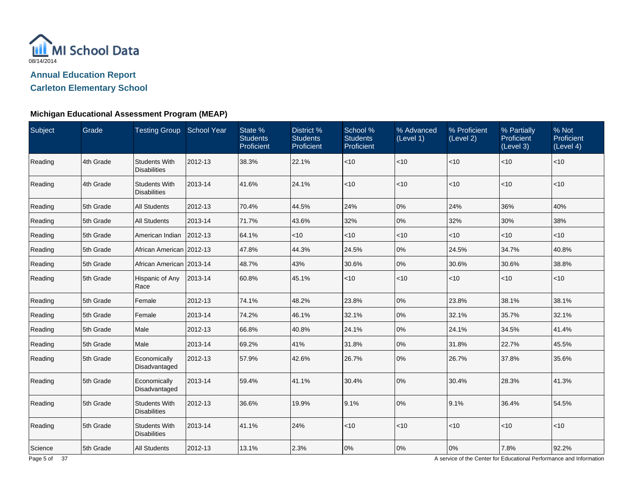

**Carleton Elementary School**

### **Michigan Educational Assessment Program (MEAP)**

| Subject | Grade     | Testing Group School Year                   |         | State %<br><b>Students</b><br>Proficient | District %<br><b>Students</b><br>Proficient | School %<br><b>Students</b><br>Proficient | % Advanced<br>(Level 1) | % Proficient<br>(Level 2) | % Partially<br><b>Proficient</b><br>(Level 3) | % Not<br>Proficient<br>(Level 4) |
|---------|-----------|---------------------------------------------|---------|------------------------------------------|---------------------------------------------|-------------------------------------------|-------------------------|---------------------------|-----------------------------------------------|----------------------------------|
| Reading | 4th Grade | <b>Students With</b><br><b>Disabilities</b> | 2012-13 | 38.3%                                    | 22.1%                                       | < 10                                      | < 10                    | < 10                      | $<$ 10                                        | < 10                             |
| Reading | 4th Grade | <b>Students With</b><br><b>Disabilities</b> | 2013-14 | 41.6%                                    | 24.1%                                       | $<10$                                     | < 10                    | < 10                      | < 10                                          | < 10                             |
| Reading | 5th Grade | <b>All Students</b>                         | 2012-13 | 70.4%                                    | 44.5%                                       | 24%                                       | 0%                      | 24%                       | 36%                                           | 40%                              |
| Reading | 5th Grade | <b>All Students</b>                         | 2013-14 | 71.7%                                    | 43.6%                                       | 32%                                       | 0%                      | 32%                       | 30%                                           | 38%                              |
| Reading | 5th Grade | American Indian                             | 2012-13 | 64.1%                                    | $<$ 10                                      | $<$ 10                                    | < 10                    | $<$ 10                    | $<$ 10                                        | $<$ 10                           |
| Reading | 5th Grade | African American 2012-13                    |         | 47.8%                                    | 44.3%                                       | 24.5%                                     | 0%                      | 24.5%                     | 34.7%                                         | 40.8%                            |
| Reading | 5th Grade | African American 2013-14                    |         | 48.7%                                    | 43%                                         | 30.6%                                     | 0%                      | 30.6%                     | 30.6%                                         | 38.8%                            |
| Reading | 5th Grade | Hispanic of Any<br>Race                     | 2013-14 | 60.8%                                    | 45.1%                                       | $<10$                                     | < 10                    | $<$ 10                    | ~10                                           | $<10$                            |
| Reading | 5th Grade | Female                                      | 2012-13 | 74.1%                                    | 48.2%                                       | 23.8%                                     | 0%                      | 23.8%                     | 38.1%                                         | 38.1%                            |
| Reading | 5th Grade | Female                                      | 2013-14 | 74.2%                                    | 46.1%                                       | 32.1%                                     | 0%                      | 32.1%                     | 35.7%                                         | 32.1%                            |
| Reading | 5th Grade | Male                                        | 2012-13 | 66.8%                                    | 40.8%                                       | 24.1%                                     | 0%                      | 24.1%                     | 34.5%                                         | 41.4%                            |
| Reading | 5th Grade | Male                                        | 2013-14 | 69.2%                                    | 41%                                         | 31.8%                                     | 0%                      | 31.8%                     | 22.7%                                         | 45.5%                            |
| Reading | 5th Grade | Economically<br>Disadvantaged               | 2012-13 | 57.9%                                    | 42.6%                                       | 26.7%                                     | 0%                      | 26.7%                     | 37.8%                                         | 35.6%                            |
| Reading | 5th Grade | Economically<br>Disadvantaged               | 2013-14 | 59.4%                                    | 41.1%                                       | 30.4%                                     | 0%                      | 30.4%                     | 28.3%                                         | 41.3%                            |
| Reading | 5th Grade | <b>Students With</b><br><b>Disabilities</b> | 2012-13 | 36.6%                                    | 19.9%                                       | 9.1%                                      | 0%                      | 9.1%                      | 36.4%                                         | 54.5%                            |
| Reading | 5th Grade | <b>Students With</b><br><b>Disabilities</b> | 2013-14 | 41.1%                                    | 24%                                         | < 10                                      | < 10                    | $ $ < 10                  | $<$ 10                                        | $<$ 10                           |
| Science | 5th Grade | <b>All Students</b>                         | 2012-13 | 13.1%                                    | 2.3%                                        | 0%                                        | 0%                      | 0%                        | 7.8%                                          | 92.2%                            |

A service of the Center for Educational Performance and Information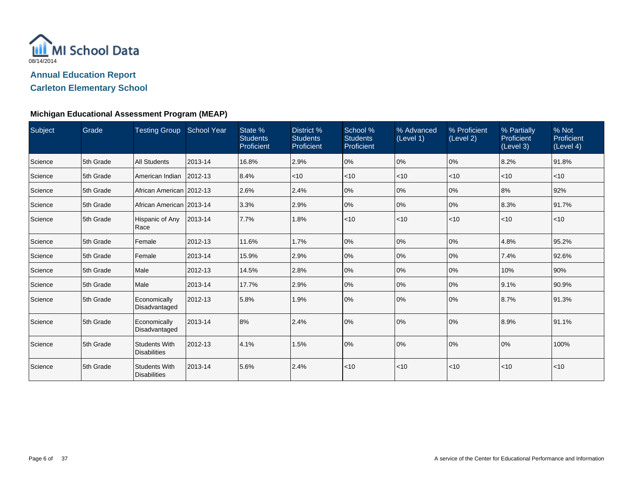

**Carleton Elementary School**

| Subject | Grade     | Testing Group School Year                   |              | State %<br><b>Students</b><br>Proficient | District %<br><b>Students</b><br>Proficient | School %<br><b>Students</b><br>Proficient | % Advanced<br>(Level 1) | % Proficient<br>(Level 2) | % Partially<br>Proficient<br>(Level 3) | % Not<br>Proficient<br>(Level 4) |
|---------|-----------|---------------------------------------------|--------------|------------------------------------------|---------------------------------------------|-------------------------------------------|-------------------------|---------------------------|----------------------------------------|----------------------------------|
| Science | 5th Grade | <b>All Students</b>                         | 2013-14      | 16.8%                                    | 2.9%                                        | 0%                                        | 0%                      | 10%                       | 8.2%                                   | 91.8%                            |
| Science | 5th Grade | American Indian                             | $ 2012 - 13$ | 8.4%                                     | $<$ 10                                      | < 10                                      | $<$ 10                  | $<$ 10                    | $<$ 10                                 | $<$ 10                           |
| Science | 5th Grade | African American 2012-13                    |              | 2.6%                                     | 2.4%                                        | 0%                                        | 0%                      | 0%                        | 8%                                     | 92%                              |
| Science | 5th Grade | African American 2013-14                    |              | 3.3%                                     | 2.9%                                        | 0%                                        | 0%                      | 0%                        | 8.3%                                   | 91.7%                            |
| Science | 5th Grade | Hispanic of Any<br>Race                     | 2013-14      | 7.7%                                     | 1.8%                                        | < 10                                      | < 10                    | $<$ 10                    | $ $ < 10                               | < 10                             |
| Science | 5th Grade | Female                                      | 2012-13      | 11.6%                                    | 1.7%                                        | 0%                                        | 0%                      | $ 0\%$                    | 4.8%                                   | 95.2%                            |
| Science | 5th Grade | Female                                      | 2013-14      | 15.9%                                    | 2.9%                                        | 0%                                        | 0%                      | 10%                       | 7.4%                                   | 92.6%                            |
| Science | 5th Grade | Male                                        | 2012-13      | 14.5%                                    | 2.8%                                        | 0%                                        | 0%                      | 10%                       | 10%                                    | 90%                              |
| Science | 5th Grade | Male                                        | 2013-14      | 17.7%                                    | 2.9%                                        | 0%                                        | 0%                      | 0%                        | 9.1%                                   | 90.9%                            |
| Science | 5th Grade | Economically<br>Disadvantaged               | 2012-13      | 5.8%                                     | 1.9%                                        | 0%                                        | 0%                      | $ 0\%$                    | 8.7%                                   | 91.3%                            |
| Science | 5th Grade | Economically<br>Disadvantaged               | 2013-14      | 8%                                       | 2.4%                                        | 0%                                        | 0%                      | 10%                       | 8.9%                                   | 91.1%                            |
| Science | 5th Grade | <b>Students With</b><br><b>Disabilities</b> | 2012-13      | 4.1%                                     | 1.5%                                        | 0%                                        | 0%                      | 0%                        | 0%                                     | 100%                             |
| Science | 5th Grade | <b>Students With</b><br><b>Disabilities</b> | 2013-14      | 5.6%                                     | 2.4%                                        | < 10                                      | < 10                    | < 10                      | < 10                                   | < 10                             |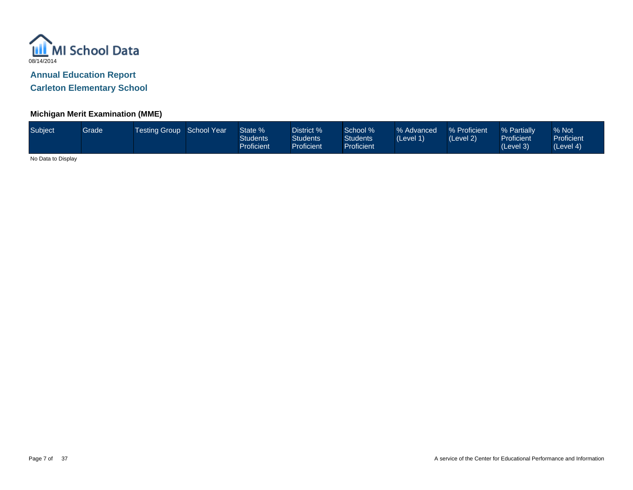

**Carleton Elementary School**

### **Michigan Merit Examination (MME)**

| Subject | Grade | Testing Group School Year |  | State %<br>Students<br>Proficient | District %<br><b>Students</b><br><b>Proficient</b> | School %<br><b>Students</b><br><b>Proficient</b> | % Advanced<br>(Level 1) | % Proficient<br>(Level 2) | % Partially<br><b>Proficient</b><br>(Level 3) | % Not<br><b>Proficient</b><br>(Level 4) |
|---------|-------|---------------------------|--|-----------------------------------|----------------------------------------------------|--------------------------------------------------|-------------------------|---------------------------|-----------------------------------------------|-----------------------------------------|
|---------|-------|---------------------------|--|-----------------------------------|----------------------------------------------------|--------------------------------------------------|-------------------------|---------------------------|-----------------------------------------------|-----------------------------------------|

No Data to Display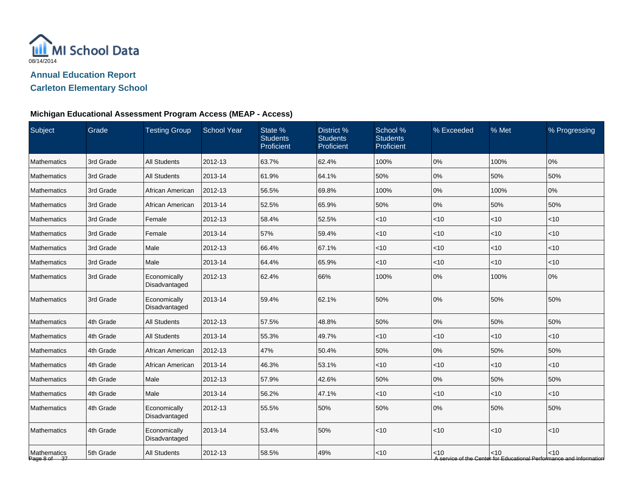

# **Carleton Elementary School**

### **Michigan Educational Assessment Program Access (MEAP - Access)**

| Subject                     | Grade     | <b>Testing Group</b>          | School Year | State %<br><b>Students</b><br>Proficient | District %<br><b>Students</b><br>Proficient | School %<br><b>Students</b><br>Proficient | % Exceeded | % Met    | % Progressing                                                               |
|-----------------------------|-----------|-------------------------------|-------------|------------------------------------------|---------------------------------------------|-------------------------------------------|------------|----------|-----------------------------------------------------------------------------|
| Mathematics                 | 3rd Grade | <b>All Students</b>           | 2012-13     | 63.7%                                    | 62.4%                                       | 100%                                      | 0%         | 100%     | 0%                                                                          |
| Mathematics                 | 3rd Grade | <b>All Students</b>           | 2013-14     | 61.9%                                    | 64.1%                                       | 50%                                       | 0%         | 50%      | 50%                                                                         |
| Mathematics                 | 3rd Grade | African American              | 2012-13     | 56.5%                                    | 69.8%                                       | 100%                                      | 0%         | 100%     | 0%                                                                          |
| Mathematics                 | 3rd Grade | African American              | 2013-14     | 52.5%                                    | 65.9%                                       | 50%                                       | 0%         | 50%      | 50%                                                                         |
| Mathematics                 | 3rd Grade | Female                        | 2012-13     | 58.4%                                    | 52.5%                                       | < 10                                      | $<$ 10     | $<$ 10   | $<$ 10                                                                      |
| <b>Mathematics</b>          | 3rd Grade | Female                        | 2013-14     | 57%                                      | 59.4%                                       | < 10                                      | $<$ 10     | $<10$    | $<$ 10                                                                      |
| Mathematics                 | 3rd Grade | Male                          | 2012-13     | 66.4%                                    | 67.1%                                       | $<10$                                     | $<$ 10     | < 10     | $<$ 10                                                                      |
| Mathematics                 | 3rd Grade | Male                          | 2013-14     | 64.4%                                    | 65.9%                                       | $<10$                                     | < 10       | <10      | <10                                                                         |
| Mathematics                 | 3rd Grade | Economically<br>Disadvantaged | 2012-13     | 62.4%                                    | 66%                                         | 100%                                      | 0%         | 100%     | 0%                                                                          |
| Mathematics                 | 3rd Grade | Economically<br>Disadvantaged | 2013-14     | 59.4%                                    | 62.1%                                       | 50%                                       | 0%         | 50%      | 50%                                                                         |
| Mathematics                 | 4th Grade | <b>All Students</b>           | 2012-13     | 57.5%                                    | 48.8%                                       | 50%                                       | 0%         | 50%      | 50%                                                                         |
| Mathematics                 | 4th Grade | <b>All Students</b>           | 2013-14     | 55.3%                                    | 49.7%                                       | < 10                                      | < 10       | < 10     | $<$ 10                                                                      |
| Mathematics                 | 4th Grade | African American              | 2012-13     | 47%                                      | 50.4%                                       | 50%                                       | 0%         | 50%      | 50%                                                                         |
| Mathematics                 | 4th Grade | African American              | 2013-14     | 46.3%                                    | 53.1%                                       | < 10                                      | $<$ 10     | $<$ 10   | $<$ 10                                                                      |
| Mathematics                 | 4th Grade | Male                          | 2012-13     | 57.9%                                    | 42.6%                                       | 50%                                       | 0%         | 50%      | 50%                                                                         |
| Mathematics                 | 4th Grade | Male                          | 2013-14     | 56.2%                                    | 47.1%                                       | $<$ 10                                    | $<$ 10     | < 10     | $<$ 10                                                                      |
| <b>Mathematics</b>          | 4th Grade | Economically<br>Disadvantaged | 2012-13     | 55.5%                                    | 50%                                         | 50%                                       | 0%         | 50%      | 50%                                                                         |
| <b>Mathematics</b>          | 4th Grade | Economically<br>Disadvantaged | 2013-14     | 53.4%                                    | 50%                                         | < 10                                      | < 10       | < 10     | <10                                                                         |
| Mathematics<br>Page 8 of 37 | 5th Grade | <b>All Students</b>           | 2012-13     | 58.5%                                    | 49%                                         | $<10$                                     | < 10       | $ $ < 10 | < 10<br>A service of the Center for Educational Performance and Information |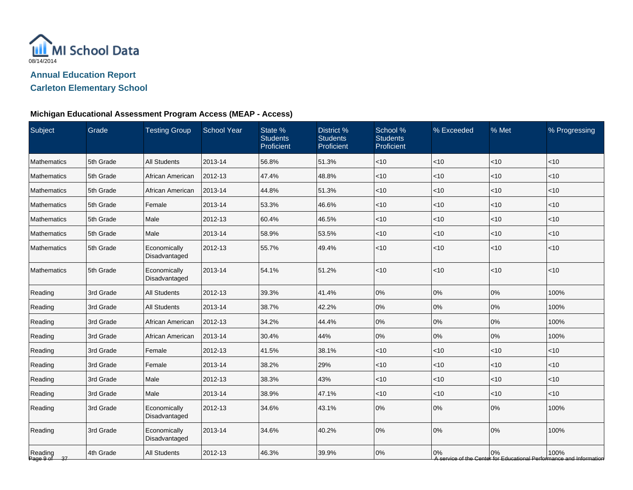

# **Carleton Elementary School**

## **Michigan Educational Assessment Program Access (MEAP - Access)**

| Subject                       | Grade     | <b>Testing Group</b>          | <b>School Year</b> | State %<br><b>Students</b><br>Proficient | District %<br><b>Students</b><br>Proficient | School %<br><b>Students</b><br>Proficient | % Exceeded | % Met  | % Progressing                                                               |
|-------------------------------|-----------|-------------------------------|--------------------|------------------------------------------|---------------------------------------------|-------------------------------------------|------------|--------|-----------------------------------------------------------------------------|
| <b>Mathematics</b>            | 5th Grade | <b>All Students</b>           | 2013-14            | 56.8%                                    | 51.3%                                       | < 10                                      | <10        | <10    | < 10                                                                        |
| Mathematics                   | 5th Grade | African American              | 2012-13            | 47.4%                                    | 48.8%                                       | $<$ 10                                    | < 10       | <10    | < 10                                                                        |
| Mathematics                   | 5th Grade | African American              | 2013-14            | 44.8%                                    | 51.3%                                       | $<$ 10                                    | <10        | $<$ 10 | $<$ 10                                                                      |
| Mathematics                   | 5th Grade | Female                        | 2013-14            | 53.3%                                    | 46.6%                                       | $<$ 10                                    | <10        | < 10   | $<$ 10                                                                      |
| Mathematics                   | 5th Grade | Male                          | 2012-13            | 60.4%                                    | 46.5%                                       | $<$ 10                                    | $<$ 10     | <10    | $<$ 10                                                                      |
| Mathematics                   | 5th Grade | Male                          | 2013-14            | 58.9%                                    | 53.5%                                       | $<$ 10                                    | <10        | < 10   | < 10                                                                        |
| <b>Mathematics</b>            | 5th Grade | Economically<br>Disadvantaged | 2012-13            | 55.7%                                    | 49.4%                                       | $<$ 10                                    | <10        | <10    | $<$ 10                                                                      |
| Mathematics                   | 5th Grade | Economically<br>Disadvantaged | 2013-14            | 54.1%                                    | 51.2%                                       | < 10                                      | <10        | < 10   | < 10                                                                        |
| Reading                       | 3rd Grade | <b>All Students</b>           | 2012-13            | 39.3%                                    | 41.4%                                       | $0\%$                                     | 0%         | 0%     | 100%                                                                        |
| Reading                       | 3rd Grade | <b>All Students</b>           | 2013-14            | 38.7%                                    | 42.2%                                       | 0%                                        | 0%         | 0%     | 100%                                                                        |
| Reading                       | 3rd Grade | African American              | 2012-13            | 34.2%                                    | 44.4%                                       | 0%                                        | 0%         | 0%     | 100%                                                                        |
| Reading                       | 3rd Grade | African American              | 2013-14            | 30.4%                                    | 44%                                         | 0%                                        | 0%         | 0%     | 100%                                                                        |
| Reading                       | 3rd Grade | Female                        | 2012-13            | 41.5%                                    | 38.1%                                       | $<$ 10                                    | $<$ 10     | < 10   | $<$ 10                                                                      |
| Reading                       | 3rd Grade | Female                        | 2013-14            | 38.2%                                    | 29%                                         | $<$ 10                                    | $<$ 10     | <10    | $<$ 10                                                                      |
| Reading                       | 3rd Grade | Male                          | 2012-13            | 38.3%                                    | 43%                                         | $<$ 10                                    | <10        | < 10   | < 10                                                                        |
| Reading                       | 3rd Grade | Male                          | 2013-14            | 38.9%                                    | 47.1%                                       | $<$ 10                                    | < 10       | <10    | < 10                                                                        |
| Reading                       | 3rd Grade | Economically<br>Disadvantaged | 2012-13            | 34.6%                                    | 43.1%                                       | 0%                                        | 0%         | 0%     | 100%                                                                        |
| Reading                       | 3rd Grade | Economically<br>Disadvantaged | 2013-14            | 34.6%                                    | 40.2%                                       | 0%                                        | 0%         | 0%     | 100%                                                                        |
| Reading<br>Page 9 of<br>$-37$ | 4th Grade | <b>All Students</b>           | 2012-13            | 46.3%                                    | 39.9%                                       | $0\%$                                     | 0%         | 0%     | 100%<br>A service of the Center for Educational Performance and Information |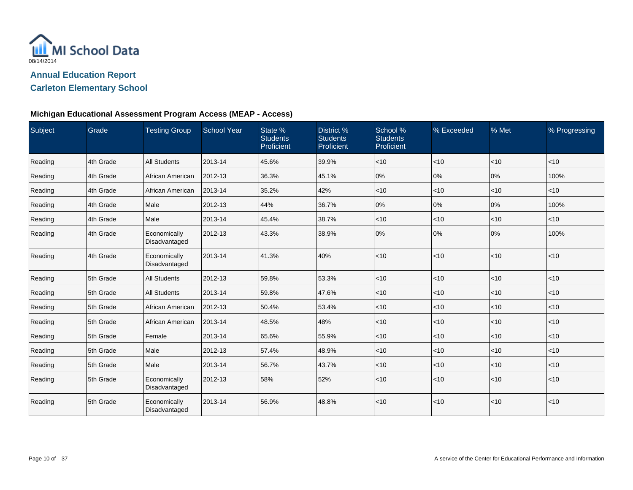

### **Carleton Elementary School**

### **Michigan Educational Assessment Program Access (MEAP - Access)**

| Subject | Grade     | <b>Testing Group</b>          | <b>School Year</b> | State %<br><b>Students</b><br>Proficient | District %<br><b>Students</b><br>Proficient | School %<br><b>Students</b><br>Proficient | % Exceeded | % Met  | % Progressing |
|---------|-----------|-------------------------------|--------------------|------------------------------------------|---------------------------------------------|-------------------------------------------|------------|--------|---------------|
| Reading | 4th Grade | <b>All Students</b>           | 2013-14            | 45.6%                                    | 39.9%                                       | $\vert$ < 10                              | <10        | <10    | < 10          |
| Reading | 4th Grade | African American              | 2012-13            | 36.3%                                    | 45.1%                                       | 0%                                        | 0%         | 0%     | 100%          |
| Reading | 4th Grade | African American              | 2013-14            | 35.2%                                    | 42%                                         | $ $ < 10                                  | $<$ 10     | < 10   | <10           |
| Reading | 4th Grade | Male                          | 2012-13            | 44%                                      | 36.7%                                       | 0%                                        | 0%         | 0%     | 100%          |
| Reading | 4th Grade | Male                          | 2013-14            | 45.4%                                    | 38.7%                                       | $<$ 10                                    | $<$ 10     | <10    | < 10          |
| Reading | 4th Grade | Economically<br>Disadvantaged | 2012-13            | 43.3%                                    | 38.9%                                       | 0%                                        | 0%         | 0%     | 100%          |
| Reading | 4th Grade | Economically<br>Disadvantaged | 2013-14            | 41.3%                                    | 40%                                         | $ $ < 10                                  | $<$ 10     | < 10   | $<$ 10        |
| Reading | 5th Grade | All Students                  | 2012-13            | 59.8%                                    | 53.3%                                       | $ $ < 10                                  | $<$ 10     | < 10   | $<$ 10        |
| Reading | 5th Grade | <b>All Students</b>           | 2013-14            | 59.8%                                    | 47.6%                                       | $ $ < 10                                  | $<$ 10     | < 10   | $<$ 10        |
| Reading | 5th Grade | African American              | 2012-13            | 50.4%                                    | 53.4%                                       | $ $ < 10                                  | $<$ 10     | $<$ 10 | < 10          |
| Reading | 5th Grade | African American              | 2013-14            | 48.5%                                    | 48%                                         | $ $ < 10                                  | <10        | <10    | < 10          |
| Reading | 5th Grade | Female                        | 2013-14            | 65.6%                                    | 55.9%                                       | $ $ < 10                                  | <10        | < 10   | $<$ 10        |
| Reading | 5th Grade | Male                          | 2012-13            | 57.4%                                    | 48.9%                                       | $ $ < 10                                  | $<$ 10     | $<$ 10 | $<$ 10        |
| Reading | 5th Grade | Male                          | 2013-14            | 56.7%                                    | 43.7%                                       | $ $ < 10                                  | $<$ 10     | < 10   | $<$ 10        |
| Reading | 5th Grade | Economically<br>Disadvantaged | 2012-13            | 58%                                      | 52%                                         | $ $ < 10                                  | $<$ 10     | <10    | $<$ 10        |
| Reading | 5th Grade | Economically<br>Disadvantaged | 2013-14            | 56.9%                                    | 48.8%                                       | $<$ 10                                    | $<$ 10     | <10    | < 10          |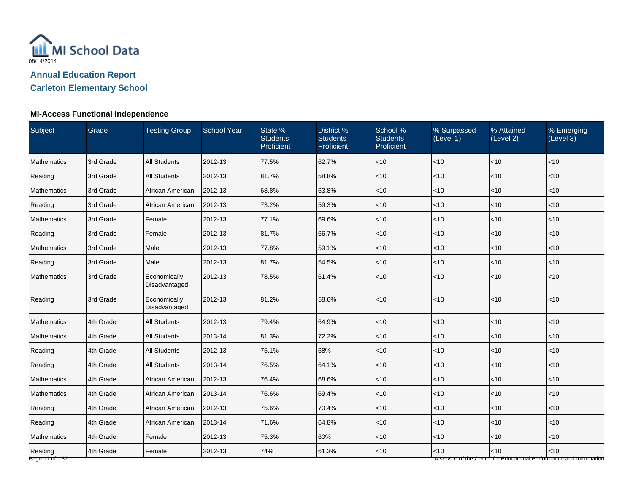

**Carleton Elementary School**

| <b>Subject</b>           | Grade     | <b>Testing Group</b>          | School Year | State %<br><b>Students</b><br>Proficient | District %<br><b>Students</b><br>Proficient | School %<br><b>Students</b><br>Proficient | % Surpassed<br>(Level 1) | % Attained<br>(Level 2) | % Emerging<br>(Level 3)                                                     |
|--------------------------|-----------|-------------------------------|-------------|------------------------------------------|---------------------------------------------|-------------------------------------------|--------------------------|-------------------------|-----------------------------------------------------------------------------|
| <b>Mathematics</b>       | 3rd Grade | <b>All Students</b>           | 2012-13     | 77.5%                                    | 62.7%                                       | < 10                                      | $<$ 10                   | < 10                    | $<$ 10                                                                      |
| Reading                  | 3rd Grade | <b>All Students</b>           | 2012-13     | 81.7%                                    | 58.8%                                       | $ $ < 10                                  | <10                      | < 10                    | < 10                                                                        |
| Mathematics              | 3rd Grade | African American              | 2012-13     | 68.8%                                    | 63.8%                                       | $<10$                                     | <10                      | $<10$                   | < 10                                                                        |
| Reading                  | 3rd Grade | African American              | 2012-13     | 73.2%                                    | 59.3%                                       | < 10                                      | <10                      | <10                     | < 10                                                                        |
| Mathematics              | 3rd Grade | Female                        | 2012-13     | 77.1%                                    | 69.6%                                       | $<$ 10                                    | <10                      | < 10                    | < 10                                                                        |
| Reading                  | 3rd Grade | Female                        | 2012-13     | 81.7%                                    | 66.7%                                       | < 10                                      | <10                      | < 10                    | $<$ 10                                                                      |
| Mathematics              | 3rd Grade | Male                          | 2012-13     | 77.8%                                    | 59.1%                                       | $ $ < 10                                  | <10                      | < 10                    | < 10                                                                        |
| Reading                  | 3rd Grade | Male                          | 2012-13     | 81.7%                                    | 54.5%                                       | < 10                                      | <10                      | < 10                    | <10                                                                         |
| <b>Mathematics</b>       | 3rd Grade | Economically<br>Disadvantaged | 2012-13     | 78.5%                                    | 61.4%                                       | < 10                                      | <10                      | < 10                    | < 10                                                                        |
| Reading                  | 3rd Grade | Economically<br>Disadvantaged | 2012-13     | 81.2%                                    | 58.6%                                       | $<10$                                     | <10                      | <10                     | <10                                                                         |
| Mathematics              | 4th Grade | <b>All Students</b>           | 2012-13     | 79.4%                                    | 64.9%                                       | $<10$                                     | <10                      | <10                     | <10                                                                         |
| Mathematics              | 4th Grade | <b>All Students</b>           | 2013-14     | 81.3%                                    | 72.2%                                       | $<$ 10                                    | <10                      | < 10                    | < 10                                                                        |
| Reading                  | 4th Grade | <b>All Students</b>           | 2012-13     | 75.1%                                    | 68%                                         | < 10                                      | $<$ 10                   | $<$ 10                  | $<$ 10                                                                      |
| Reading                  | 4th Grade | <b>All Students</b>           | 2013-14     | 76.5%                                    | 64.1%                                       | < 10                                      | $<$ 10                   | < 10                    | $<$ 10                                                                      |
| Mathematics              | 4th Grade | African American              | 2012-13     | 76.4%                                    | 68.6%                                       | $ $ < 10                                  | <10                      | < 10                    | < 10                                                                        |
| Mathematics              | 4th Grade | African American              | 2013-14     | 76.6%                                    | 69.4%                                       | <10                                       | <10                      | < 10                    | <10                                                                         |
| Reading                  | 4th Grade | African American              | 2012-13     | 75.6%                                    | 70.4%                                       | $<$ 10                                    | <10                      | < 10                    | < 10                                                                        |
| Reading                  | 4th Grade | African American              | 2013-14     | 71.6%                                    | 64.8%                                       | < 10                                      | $<$ 10                   | < 10                    | < 10                                                                        |
| Mathematics              | 4th Grade | Female                        | 2012-13     | 75.3%                                    | 60%                                         | $<$ 10                                    | $<$ 10                   | < 10                    | $<$ 10                                                                      |
| Reading<br>Page 11 of 37 | 4th Grade | Female                        | 2012-13     | 74%                                      | 61.3%                                       | <10                                       | <10                      | $<10$                   | < 10<br>A service of the Center for Educational Performance and Information |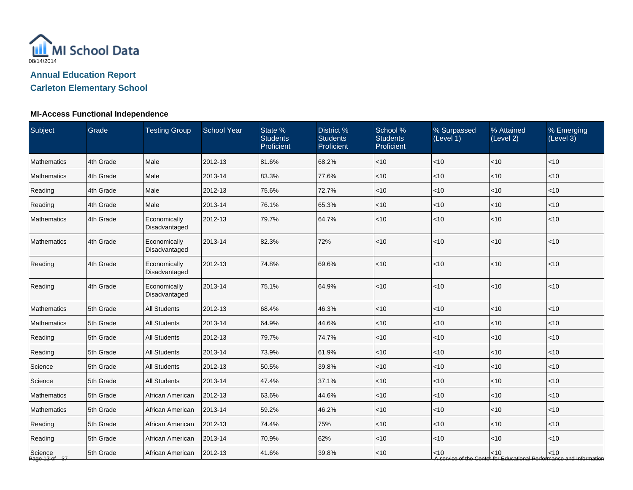

**Carleton Elementary School**

| <b>Subject</b>           | Grade     | <b>Testing Group</b>          | <b>School Year</b> | State %<br><b>Students</b><br>Proficient | District %<br><b>Students</b><br>Proficient | School %<br><b>Students</b><br>Proficient | % Surpassed<br>(Level 1) | % Attained<br>(Level 2) | % Emerging<br>(Level 3)                                                     |
|--------------------------|-----------|-------------------------------|--------------------|------------------------------------------|---------------------------------------------|-------------------------------------------|--------------------------|-------------------------|-----------------------------------------------------------------------------|
| <b>Mathematics</b>       | 4th Grade | Male                          | 2012-13            | 81.6%                                    | 68.2%                                       | < 10                                      | $<$ 10                   | < 10                    | $<$ 10                                                                      |
| Mathematics              | 4th Grade | Male                          | 2013-14            | 83.3%                                    | 77.6%                                       | < 10                                      | < 10                     | <10                     | <10                                                                         |
| Reading                  | 4th Grade | Male                          | 2012-13            | 75.6%                                    | 72.7%                                       | $<10$                                     | <10                      | $<10$                   | < 10                                                                        |
| Reading                  | 4th Grade | Male                          | 2013-14            | 76.1%                                    | 65.3%                                       | < 10                                      | < 10                     | <10                     | <10                                                                         |
| Mathematics              | 4th Grade | Economically<br>Disadvantaged | 2012-13            | 79.7%                                    | 64.7%                                       | < 10                                      | $<$ 10                   | < 10                    | $<$ 10                                                                      |
| Mathematics              | 4th Grade | Economically<br>Disadvantaged | 2013-14            | 82.3%                                    | 72%                                         | < 10                                      | < 10                     | < 10                    | $<$ 10                                                                      |
| Reading                  | 4th Grade | Economically<br>Disadvantaged | 2012-13            | 74.8%                                    | 69.6%                                       | $<10$                                     | < 10                     | < 10                    | <10                                                                         |
| Reading                  | 4th Grade | Economically<br>Disadvantaged | 2013-14            | 75.1%                                    | 64.9%                                       | $<10$                                     | < 10                     | <10                     | <10                                                                         |
| Mathematics              | 5th Grade | <b>All Students</b>           | 2012-13            | 68.4%                                    | 46.3%                                       | <10                                       | <10                      | <10                     | < 10                                                                        |
| Mathematics              | 5th Grade | <b>All Students</b>           | 2013-14            | 64.9%                                    | 44.6%                                       | < 10                                      | $<$ 10                   | < 10                    | < 10                                                                        |
| Reading                  | 5th Grade | <b>All Students</b>           | 2012-13            | 79.7%                                    | 74.7%                                       | < 10                                      | $<$ 10                   | $<$ 10                  | $<$ 10                                                                      |
| Reading                  | 5th Grade | <b>All Students</b>           | 2013-14            | 73.9%                                    | 61.9%                                       | $<10$                                     | $<$ 10                   | $<10$                   | $<$ 10                                                                      |
| Science                  | 5th Grade | <b>All Students</b>           | 2012-13            | 50.5%                                    | 39.8%                                       | <10                                       | $<$ 10                   | <10                     | <10                                                                         |
| Science                  | 5th Grade | <b>All Students</b>           | 2013-14            | 47.4%                                    | 37.1%                                       | < 10                                      | < 10                     | <10                     | <10                                                                         |
| Mathematics              | 5th Grade | African American              | 2012-13            | 63.6%                                    | 44.6%                                       | $<10$                                     | < 10                     | < 10                    | < 10                                                                        |
| Mathematics              | 5th Grade | African American              | 2013-14            | 59.2%                                    | 46.2%                                       | $<$ 10                                    | $<$ 10                   | $<$ 10                  | $<$ 10                                                                      |
| Reading                  | 5th Grade | African American              | 2012-13            | 74.4%                                    | 75%                                         | < 10                                      | $<$ 10                   | $<10$                   | $<$ 10                                                                      |
| Reading                  | 5th Grade | African American              | 2013-14            | 70.9%                                    | 62%                                         | < 10                                      | < 10                     | <10                     | $<$ 10                                                                      |
| Science<br>Page 12 of 37 | 5th Grade | African American              | 2012-13            | 41.6%                                    | 39.8%                                       | $<10$                                     | $<$ 10                   | < 10                    | < 10<br>A service of the Center for Educational Performance and Information |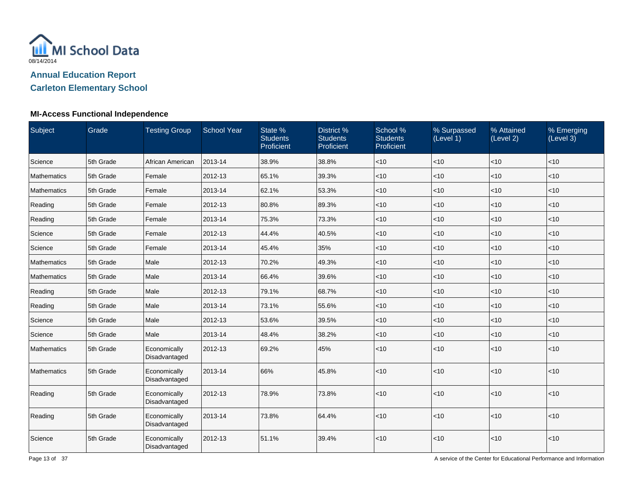

**Carleton Elementary School**

| <b>Subject</b> | Grade     | <b>Testing Group</b>          | <b>School Year</b> | State %<br><b>Students</b><br>Proficient | District %<br><b>Students</b><br>Proficient | School %<br><b>Students</b><br>Proficient | % Surpassed<br>(Level 1) | % Attained<br>(Level 2) | % Emerging<br>(Level 3) |
|----------------|-----------|-------------------------------|--------------------|------------------------------------------|---------------------------------------------|-------------------------------------------|--------------------------|-------------------------|-------------------------|
| Science        | 5th Grade | African American              | 2013-14            | 38.9%                                    | 38.8%                                       | $<10$                                     | <10                      | <10                     | <10                     |
| Mathematics    | 5th Grade | Female                        | 2012-13            | 65.1%                                    | 39.3%                                       | $<$ 10                                    | $<$ 10                   | < 10                    | < 10                    |
| Mathematics    | 5th Grade | Female                        | 2013-14            | 62.1%                                    | 53.3%                                       | $<$ 10                                    | $<$ 10                   | $<$ 10                  | $<$ 10                  |
| Reading        | 5th Grade | Female                        | 2012-13            | 80.8%                                    | 89.3%                                       | < 10                                      | <10                      | < 10                    | < 10                    |
| Reading        | 5th Grade | Female                        | 2013-14            | 75.3%                                    | 73.3%                                       | < 10                                      | <10                      | <10                     | < 10                    |
| Science        | 5th Grade | Female                        | 2012-13            | 44.4%                                    | 40.5%                                       | $<$ 10                                    | < 10                     | < 10                    | $<$ 10                  |
| Science        | 5th Grade | Female                        | 2013-14            | 45.4%                                    | 35%                                         | $ $ < 10                                  | <10                      | < 10                    | < 10                    |
| Mathematics    | 5th Grade | Male                          | 2012-13            | 70.2%                                    | 49.3%                                       | $<$ 10                                    | <10                      | < 10                    | $<$ 10                  |
| Mathematics    | 5th Grade | Male                          | 2013-14            | 66.4%                                    | 39.6%                                       | $<$ 10                                    | <10                      | < 10                    | < 10                    |
| Reading        | 5th Grade | Male                          | 2012-13            | 79.1%                                    | 68.7%                                       | ~10                                       | $<$ 10                   | < 10                    | < 10                    |
| Reading        | 5th Grade | Male                          | 2013-14            | 73.1%                                    | 55.6%                                       | $<$ 10                                    | $<$ 10                   | < 10                    | < 10                    |
| Science        | 5th Grade | Male                          | 2012-13            | 53.6%                                    | 39.5%                                       | < 10                                      | <10                      | <10                     | < 10                    |
| Science        | 5th Grade | Male                          | 2013-14            | 48.4%                                    | 38.2%                                       | < 10                                      | $<$ 10                   | < 10                    | < 10                    |
| Mathematics    | 5th Grade | Economically<br>Disadvantaged | 2012-13            | 69.2%                                    | 45%                                         | $ $ < 10                                  | <10                      | $<$ 10                  | < 10                    |
| Mathematics    | 5th Grade | Economically<br>Disadvantaged | 2013-14            | 66%                                      | 45.8%                                       | < 10                                      | <10                      | $<10$                   | < 10                    |
| Reading        | 5th Grade | Economically<br>Disadvantaged | 2012-13            | 78.9%                                    | 73.8%                                       | < 10                                      | <10                      | <10                     | < 10                    |
| Reading        | 5th Grade | Economically<br>Disadvantaged | 2013-14            | 73.8%                                    | 64.4%                                       | $ $ < 10                                  | < 10                     | < 10                    | < 10                    |
| Science        | 5th Grade | Economically<br>Disadvantaged | 2012-13            | 51.1%                                    | 39.4%                                       | < 10                                      | <10                      | < 10                    | < 10                    |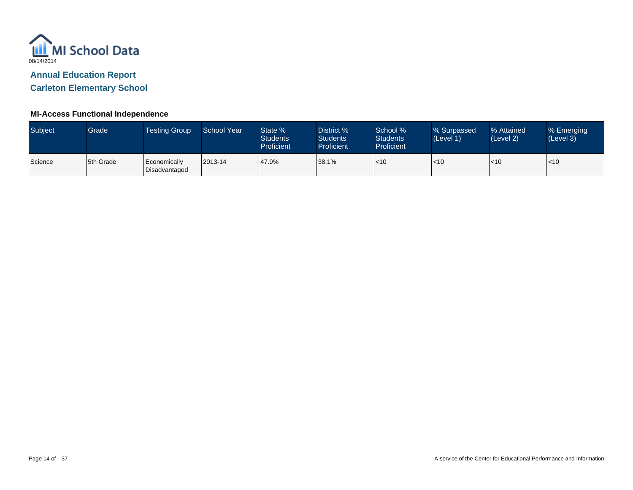

**Carleton Elementary School**

| <b>Subject</b> | Grade     | Testing Group                 | School Year | State %<br><b>Students</b><br>Proficient | District %<br><b>Students</b><br><b>Proficient</b> | School %<br><b>Students</b><br><b>Proficient</b> | % Surpassed<br>(Level 1) | % Attained<br>(Level 2) | % Emerging<br>(Level 3) |
|----------------|-----------|-------------------------------|-------------|------------------------------------------|----------------------------------------------------|--------------------------------------------------|--------------------------|-------------------------|-------------------------|
| Science        | 5th Grade | Economically<br>Disadvantaged | 2013-14     | 47.9%                                    | 38.1%                                              | $\leq 10$                                        | $ $ < 10                 | $\mathsf{I}$ <10        | $<$ 10                  |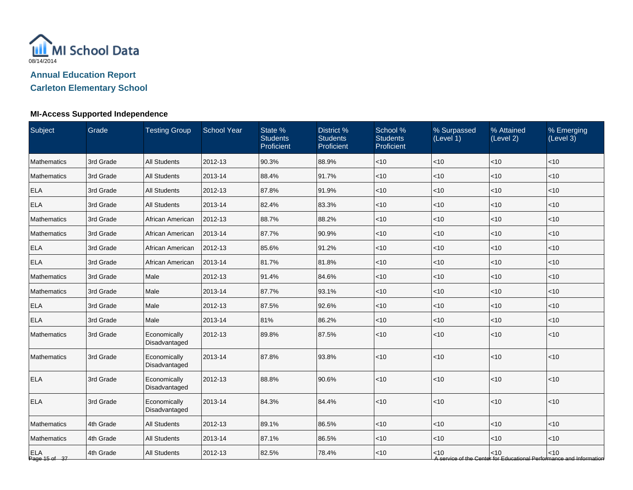

# **Carleton Elementary School**

### **MI-Access Supported Independence**

| Subject                     | Grade     | <b>Testing Group</b>          | <b>School Year</b> | State %<br><b>Students</b><br>Proficient | District %<br><b>Students</b><br>Proficient | School %<br><b>Students</b><br>Proficient | % Surpassed<br>(Level 1) | % Attained<br>(Level 2) | % Emerging<br>(Level 3)                                                     |
|-----------------------------|-----------|-------------------------------|--------------------|------------------------------------------|---------------------------------------------|-------------------------------------------|--------------------------|-------------------------|-----------------------------------------------------------------------------|
| Mathematics                 | 3rd Grade | <b>All Students</b>           | 2012-13            | 90.3%                                    | 88.9%                                       | < 10                                      | $<$ 10                   | < 10                    | <10                                                                         |
| <b>Mathematics</b>          | 3rd Grade | <b>All Students</b>           | 2013-14            | 88.4%                                    | 91.7%                                       | $<$ 10                                    | $<$ 10                   | < 10                    | <10                                                                         |
| <b>ELA</b>                  | 3rd Grade | <b>All Students</b>           | 2012-13            | 87.8%                                    | 91.9%                                       | < 10                                      | $<10$                    | < 10                    | < 10                                                                        |
| <b>ELA</b>                  | 3rd Grade | <b>All Students</b>           | 2013-14            | 82.4%                                    | 83.3%                                       | $<$ 10                                    | $ $ < 10                 | $\leq 10$               | < 10                                                                        |
| Mathematics                 | 3rd Grade | African American              | 2012-13            | 88.7%                                    | 88.2%                                       | $<$ 10                                    | $<$ 10                   | $<$ 10                  | $<$ 10                                                                      |
| Mathematics                 | 3rd Grade | African American              | 2013-14            | 87.7%                                    | 90.9%                                       | $<$ 10                                    | $<$ 10                   | $ $ < 10                | $<$ 10                                                                      |
| <b>ELA</b>                  | 3rd Grade | African American              | 2012-13            | 85.6%                                    | 91.2%                                       | < 10                                      | $<$ 10                   | $<10$                   | <10                                                                         |
| <b>ELA</b>                  | 3rd Grade | African American              | 2013-14            | 81.7%                                    | 81.8%                                       | < 10                                      | $<$ 10                   | $ $ < 10                | < 10                                                                        |
| Mathematics                 | 3rd Grade | Male                          | 2012-13            | 91.4%                                    | 84.6%                                       | < 10                                      | $<$ 10                   | < 10                    | < 10                                                                        |
| Mathematics                 | 3rd Grade | Male                          | 2013-14            | 87.7%                                    | 93.1%                                       | $<$ 10                                    | $<$ 10                   | $<10$                   | $<$ 10                                                                      |
| <b>ELA</b>                  | 3rd Grade | Male                          | 2012-13            | 87.5%                                    | 92.6%                                       | < 10                                      | $<$ 10                   | $ $ < 10                | <10                                                                         |
| <b>ELA</b>                  | 3rd Grade | Male                          | 2013-14            | 81%                                      | 86.2%                                       | < 10                                      | $<$ 10                   | $\vert$ < 10            | <10                                                                         |
| <b>Mathematics</b>          | 3rd Grade | Economically<br>Disadvantaged | 2012-13            | 89.8%                                    | 87.5%                                       | $<$ 10                                    | < 10                     | < 10                    | <10                                                                         |
| Mathematics                 | 3rd Grade | Economically<br>Disadvantaged | 2013-14            | 87.8%                                    | 93.8%                                       | < 10                                      | < 10                     | < 10                    | <10                                                                         |
| <b>ELA</b>                  | 3rd Grade | Economically<br>Disadvantaged | 2012-13            | 88.8%                                    | 90.6%                                       | < 10                                      | $ $ < 10                 | < 10                    | <10                                                                         |
| <b>ELA</b>                  | 3rd Grade | Economically<br>Disadvantaged | 2013-14            | 84.3%                                    | 84.4%                                       | < 10                                      | $ $ < 10                 | < 10                    | < 10                                                                        |
| Mathematics                 | 4th Grade | <b>All Students</b>           | 2012-13            | 89.1%                                    | 86.5%                                       | < 10                                      | $<$ 10                   | $\vert$ < 10            | <10                                                                         |
| Mathematics                 | 4th Grade | <b>All Students</b>           | 2013-14            | 87.1%                                    | 86.5%                                       | < 10                                      | $<$ 10                   | $<10$                   | <10                                                                         |
| <b>ELA</b><br>Page 15 of 37 | 4th Grade | <b>All Students</b>           | 2012-13            | 82.5%                                    | 78.4%                                       | < 10                                      | < 10                     | $\vert$ < 10            | < 10<br>A service of the Center for Educational Performance and Information |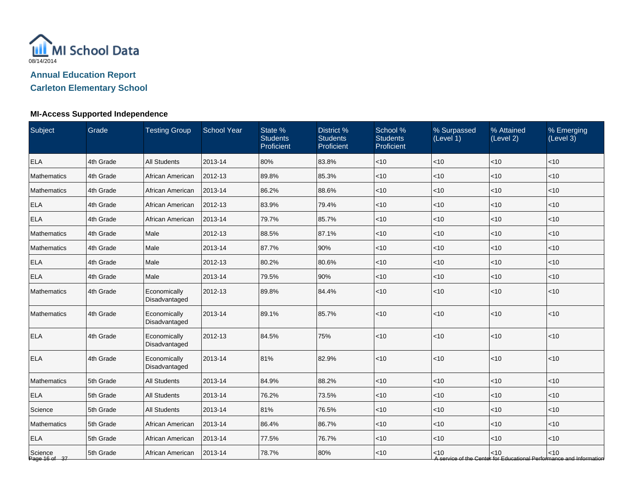

# **Carleton Elementary School**

### **MI-Access Supported Independence**

| Subject                  | Grade     | <b>Testing Group</b>          | <b>School Year</b> | State %<br><b>Students</b><br>Proficient | District %<br><b>Students</b><br>Proficient | School %<br><b>Students</b><br>Proficient | % Surpassed<br>(Level 1) | % Attained<br>(Level 2) | % Emerging<br>(Level 3)                                                     |
|--------------------------|-----------|-------------------------------|--------------------|------------------------------------------|---------------------------------------------|-------------------------------------------|--------------------------|-------------------------|-----------------------------------------------------------------------------|
| <b>ELA</b>               | 4th Grade | <b>All Students</b>           | 2013-14            | 80%                                      | 83.8%                                       | < 10                                      | $<$ 10                   | < 10                    | <10                                                                         |
| <b>Mathematics</b>       | 4th Grade | African American              | 2012-13            | 89.8%                                    | 85.3%                                       | < 10                                      | < 10                     | < 10                    | <10                                                                         |
| <b>Mathematics</b>       | 4th Grade | African American              | 2013-14            | 86.2%                                    | 88.6%                                       | < 10                                      | $<$ 10                   | $<10$                   | < 10                                                                        |
| <b>ELA</b>               | 4th Grade | African American              | 2012-13            | 83.9%                                    | 79.4%                                       | $<$ 10                                    | $ $ < 10                 | $\vert$ < 10            | < 10                                                                        |
| <b>ELA</b>               | 4th Grade | African American              | 2013-14            | 79.7%                                    | 85.7%                                       | $<$ 10                                    | $<$ 10                   | $<$ 10                  | $<$ 10                                                                      |
| Mathematics              | 4th Grade | Male                          | 2012-13            | 88.5%                                    | 87.1%                                       | $<$ 10                                    | $<$ 10                   | $\vert$ < 10            | $<$ 10                                                                      |
| Mathematics              | 4th Grade | Male                          | 2013-14            | 87.7%                                    | 90%                                         | < 10                                      | $<$ 10                   | $<10$                   | <10                                                                         |
| <b>ELA</b>               | 4th Grade | Male                          | 2012-13            | 80.2%                                    | 80.6%                                       | < 10                                      | $<$ 10                   | $ $ < 10                | < 10                                                                        |
| <b>ELA</b>               | 4th Grade | Male                          | 2013-14            | 79.5%                                    | 90%                                         | < 10                                      | $<$ 10                   | < 10                    | < 10                                                                        |
| Mathematics              | 4th Grade | Economically<br>Disadvantaged | 2012-13            | 89.8%                                    | 84.4%                                       | < 10                                      | $<$ 10                   | $\vert$ < 10            | < 10                                                                        |
| Mathematics              | 4th Grade | Economically<br>Disadvantaged | 2013-14            | 89.1%                                    | 85.7%                                       | < 10                                      | $ $ < 10                 | < 10                    | $<$ 10                                                                      |
| <b>ELA</b>               | 4th Grade | Economically<br>Disadvantaged | 2012-13            | 84.5%                                    | 75%                                         | < 10                                      | < 10                     | $10$                    | < 10                                                                        |
| <b>ELA</b>               | 4th Grade | Economically<br>Disadvantaged | 2013-14            | 81%                                      | 82.9%                                       | < 10                                      | < 10                     | < 10                    | < 10                                                                        |
| <b>Mathematics</b>       | 5th Grade | <b>All Students</b>           | 2013-14            | 84.9%                                    | 88.2%                                       | <10                                       | <10                      | <10                     | <10                                                                         |
| <b>ELA</b>               | 5th Grade | <b>All Students</b>           | 2013-14            | 76.2%                                    | 73.5%                                       | < 10                                      | $ $ < 10                 | $ $ < 10                | < 10                                                                        |
| Science                  | 5th Grade | <b>All Students</b>           | 2013-14            | 81%                                      | 76.5%                                       | $<$ 10                                    | $<$ 10                   | $<$ 10                  | $<$ 10                                                                      |
| Mathematics              | 5th Grade | African American              | 2013-14            | 86.4%                                    | 86.7%                                       | $<$ 10                                    | $<$ 10                   | $ $ < 10                | $<$ 10                                                                      |
| <b>ELA</b>               | 5th Grade | African American              | 2013-14            | 77.5%                                    | 76.7%                                       | < 10                                      | $<$ 10                   | $<10$                   | <10                                                                         |
| Science<br>Page 16 of 37 | 5th Grade | African American              | 2013-14            | 78.7%                                    | 80%                                         | < 10                                      | < 10                     | $\vert$ < 10            | < 10<br>A service of the Center for Educational Performance and Information |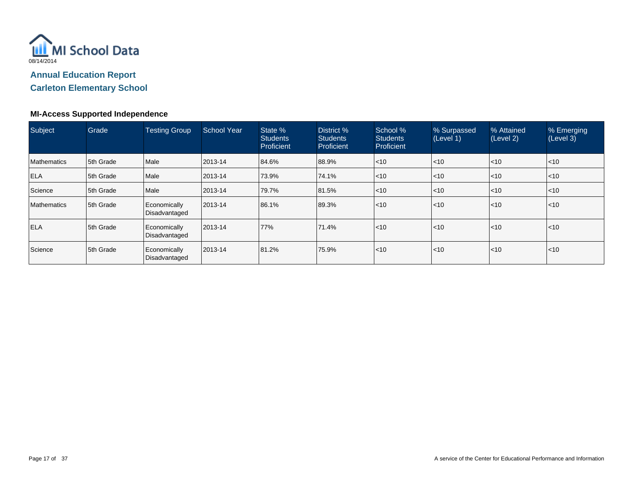

**Carleton Elementary School**

### **MI-Access Supported Independence**

| Subject     | Grade     | <b>Testing Group</b>          | School Year | State %<br><b>Students</b><br>Proficient | District %<br><b>Students</b><br>Proficient | School %<br><b>Students</b><br>Proficient | % Surpassed<br>(Level 1) | % Attained<br>(Level 2) | % Emerging<br>(Level 3) |
|-------------|-----------|-------------------------------|-------------|------------------------------------------|---------------------------------------------|-------------------------------------------|--------------------------|-------------------------|-------------------------|
| Mathematics | 5th Grade | Male                          | 2013-14     | 84.6%                                    | 88.9%                                       | $\leq 10$                                 | $\leq 10$                | $\mathsf{I}$ <10        | $ $ < 10                |
| <b>ELA</b>  | 5th Grade | Male                          | 2013-14     | 73.9%                                    | 74.1%                                       | $\leq 10$                                 | $<$ 10                   | $\mathsf{I}$ <10        | $ $ < 10                |
| Science     | 5th Grade | Male                          | 2013-14     | 79.7%                                    | 81.5%                                       | $\leq 10$                                 | $<$ 10                   | $\mathsf{I}$ <10        | $ $ < 10                |
| Mathematics | 5th Grade | Economically<br>Disadvantaged | 2013-14     | 86.1%                                    | 89.3%                                       | $\leq 10$                                 | $ $ < 10                 | $\mathsf{I}$ <10        | $ $ < 10                |
| <b>ELA</b>  | 5th Grade | Economically<br>Disadvantaged | 2013-14     | 77%                                      | 71.4%                                       | $\leq 10$                                 | $ $ < 10                 | $\mathsf{I}$ <10        | $ $ < 10                |
| Science     | 5th Grade | Economically<br>Disadvantaged | 2013-14     | 81.2%                                    | 75.9%                                       | $\leq 10$                                 | $ $ < 10                 | $\mathsf{I}$ <10        | $ $ < 10                |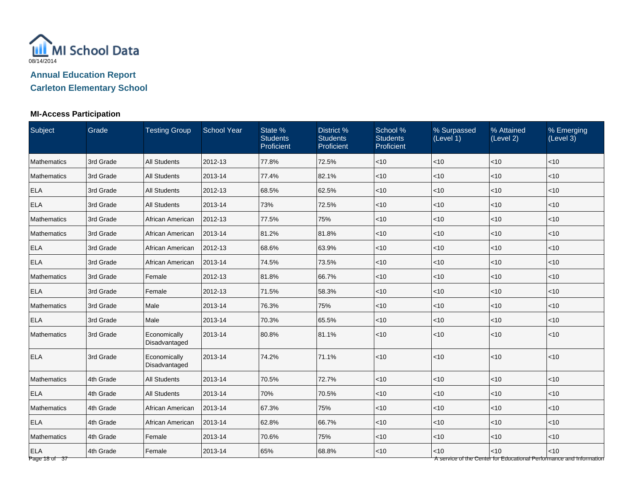

**Carleton Elementary School**

## **MI-Access Participation**

| Subject                     | Grade     | <b>Testing Group</b>          | <b>School Year</b> | State %<br><b>Students</b><br>Proficient | District %<br><b>Students</b><br>Proficient | School %<br><b>Students</b><br>Proficient | % Surpassed<br>(Level 1) | % Attained<br>(Level 2) | % Emerging<br>(Level 3)                                                     |
|-----------------------------|-----------|-------------------------------|--------------------|------------------------------------------|---------------------------------------------|-------------------------------------------|--------------------------|-------------------------|-----------------------------------------------------------------------------|
| Mathematics                 | 3rd Grade | All Students                  | 2012-13            | 77.8%                                    | 72.5%                                       | $<$ 10                                    | $<$ 10                   | < 10                    | $<$ 10                                                                      |
| Mathematics                 | 3rd Grade | <b>All Students</b>           | 2013-14            | 77.4%                                    | 82.1%                                       | $<$ 10                                    | <10                      | < 10                    | < 10                                                                        |
| <b>ELA</b>                  | 3rd Grade | <b>All Students</b>           | 2012-13            | 68.5%                                    | 62.5%                                       | $<$ 10                                    | <10                      | < 10                    | < 10                                                                        |
| <b>ELA</b>                  | 3rd Grade | <b>All Students</b>           | 2013-14            | 73%                                      | 72.5%                                       | $<$ 10                                    | < 10                     | < 10                    | $<$ 10                                                                      |
| Mathematics                 | 3rd Grade | African American              | 2012-13            | 77.5%                                    | 75%                                         | $<$ 10                                    | < 10                     | < 10                    | $<$ 10                                                                      |
| Mathematics                 | 3rd Grade | African American              | 2013-14            | 81.2%                                    | 81.8%                                       | $<$ 10                                    | $<$ 10                   | < 10                    | $<$ 10                                                                      |
| <b>ELA</b>                  | 3rd Grade | African American              | 2012-13            | 68.6%                                    | 63.9%                                       | $<$ 10                                    | < 10                     | < 10                    | < 10                                                                        |
| <b>ELA</b>                  | 3rd Grade | African American              | 2013-14            | 74.5%                                    | 73.5%                                       | $<$ 10                                    | <10                      | < 10                    | < 10                                                                        |
| Mathematics                 | 3rd Grade | Female                        | 2012-13            | 81.8%                                    | 66.7%                                       | $<$ 10                                    | $<$ 10                   | <10                     | < 10                                                                        |
| <b>ELA</b>                  | 3rd Grade | Female                        | 2012-13            | 71.5%                                    | 58.3%                                       | $<$ 10                                    | <10                      | <10                     | $<$ 10                                                                      |
| Mathematics                 | 3rd Grade | Male                          | 2013-14            | 76.3%                                    | 75%                                         | $<$ 10                                    | $<$ 10                   | < 10                    | < 10                                                                        |
| <b>ELA</b>                  | 3rd Grade | Male                          | 2013-14            | 70.3%                                    | 65.5%                                       | $<$ 10                                    | < 10                     | < 10                    | $<$ 10                                                                      |
| <b>Mathematics</b>          | 3rd Grade | Economically<br>Disadvantaged | 2013-14            | 80.8%                                    | 81.1%                                       | $<$ 10                                    | < 10                     | <10                     | < 10                                                                        |
| <b>ELA</b>                  | 3rd Grade | Economically<br>Disadvantaged | 2013-14            | 74.2%                                    | 71.1%                                       | $<$ 10                                    | <10                      | <10                     | < 10                                                                        |
| Mathematics                 | 4th Grade | <b>All Students</b>           | 2013-14            | 70.5%                                    | 72.7%                                       | $<$ 10                                    | <10                      | <10                     | < 10                                                                        |
| <b>ELA</b>                  | 4th Grade | <b>All Students</b>           | 2013-14            | 70%                                      | 70.5%                                       | $<$ 10                                    | < 10                     | < 10                    | < 10                                                                        |
| Mathematics                 | 4th Grade | African American              | 2013-14            | 67.3%                                    | 75%                                         | $<$ 10                                    | < 10                     | < 10                    | $<$ 10                                                                      |
| <b>ELA</b>                  | 4th Grade | African American              | 2013-14            | 62.8%                                    | 66.7%                                       | $<$ 10                                    | $<$ 10                   | $<$ 10                  | $<$ 10                                                                      |
| Mathematics                 | 4th Grade | Female                        | 2013-14            | 70.6%                                    | 75%                                         | $<$ 10                                    | $<$ 10                   | < 10                    | $<$ 10                                                                      |
| <b>ELA</b><br>Page 18 of 37 | 4th Grade | Female                        | 2013-14            | 65%                                      | 68.8%                                       | $<$ 10                                    | <10                      | <10                     | < 10<br>A service of the Center for Educational Performance and Information |

Page 18 of 37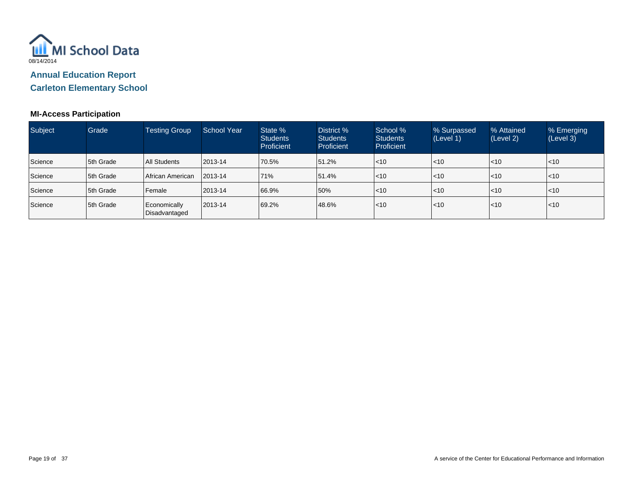

**Carleton Elementary School**

### **MI-Access Participation**

| Subject | Grade            | <b>Testing Group</b>          | <b>School Year</b> | State %<br><b>Students</b><br><b>Proficient</b> | District %<br><b>Students</b><br>Proficient | School %<br><b>Students</b><br>Proficient | % Surpassed<br>(Level 1) | % Attained<br>(Level 2) | % Emerging<br>(Level 3) |
|---------|------------------|-------------------------------|--------------------|-------------------------------------------------|---------------------------------------------|-------------------------------------------|--------------------------|-------------------------|-------------------------|
| Science | 5th Grade        | <b>All Students</b>           | 2013-14            | 70.5%                                           | 151.2%                                      | $ $ < 10                                  | $\mathsf{I}$ <10         | $\mathsf{I}$ <10        | $ $ < 10                |
| Science | <b>5th Grade</b> | African American              | 2013-14            | 71%                                             | 51.4%                                       | $ $ < 10                                  | $\mathsf{I}$ <10         | $\mathsf{I}$ <10        | $ $ < 10                |
| Science | 5th Grade        | Female                        | 2013-14            | 66.9%                                           | 50%                                         | $ $ < 10                                  | $\mathsf{I}$ <10         | $\mathsf{I}$ <10        | $ $ < 10                |
| Science | 5th Grade        | Economically<br>Disadvantaged | 2013-14            | 69.2%                                           | 48.6%                                       | $ $ < 10                                  | < 10                     | l<10                    | $ $ < 10                |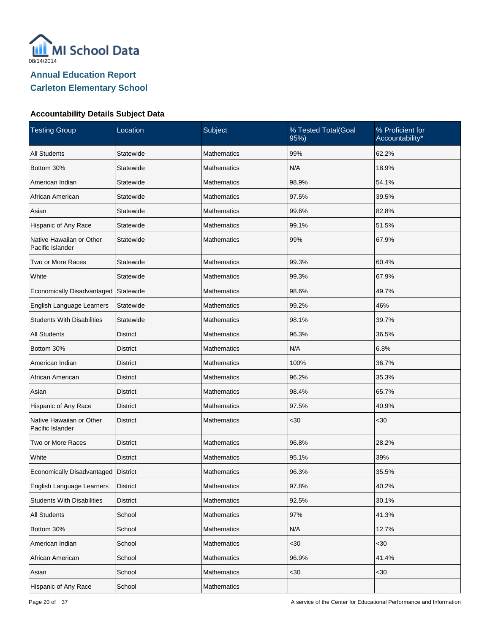

| <b>Testing Group</b>                         | Location        | Subject            | % Tested Total(Goal<br>95%) | % Proficient for<br>Accountability* |
|----------------------------------------------|-----------------|--------------------|-----------------------------|-------------------------------------|
| <b>All Students</b>                          | Statewide       | <b>Mathematics</b> | 99%                         | 62.2%                               |
| Bottom 30%                                   | Statewide       | <b>Mathematics</b> | N/A                         | 18.9%                               |
| American Indian                              | Statewide       | <b>Mathematics</b> | 98.9%                       | 54.1%                               |
| African American                             | Statewide       | <b>Mathematics</b> | 97.5%                       | 39.5%                               |
| Asian                                        | Statewide       | <b>Mathematics</b> | 99.6%                       | 82.8%                               |
| Hispanic of Any Race                         | Statewide       | <b>Mathematics</b> | 99.1%                       | 51.5%                               |
| Native Hawaiian or Other<br>Pacific Islander | Statewide       | <b>Mathematics</b> | 99%                         | 67.9%                               |
| Two or More Races                            | Statewide       | <b>Mathematics</b> | 99.3%                       | 60.4%                               |
| White                                        | Statewide       | <b>Mathematics</b> | 99.3%                       | 67.9%                               |
| Economically Disadvantaged                   | Statewide       | <b>Mathematics</b> | 98.6%                       | 49.7%                               |
| English Language Learners                    | Statewide       | <b>Mathematics</b> | 99.2%                       | 46%                                 |
| <b>Students With Disabilities</b>            | Statewide       | <b>Mathematics</b> | 98.1%                       | 39.7%                               |
| <b>All Students</b>                          | <b>District</b> | <b>Mathematics</b> | 96.3%                       | 36.5%                               |
| Bottom 30%                                   | District        | <b>Mathematics</b> | N/A                         | 6.8%                                |
| American Indian                              | <b>District</b> | <b>Mathematics</b> | 100%                        | 36.7%                               |
| African American                             | District        | <b>Mathematics</b> | 96.2%                       | 35.3%                               |
| Asian                                        | <b>District</b> | <b>Mathematics</b> | 98.4%                       | 65.7%                               |
| Hispanic of Any Race                         | District        | <b>Mathematics</b> | 97.5%                       | 40.9%                               |
| Native Hawaiian or Other<br>Pacific Islander | <b>District</b> | <b>Mathematics</b> | $30$                        | $30$                                |
| Two or More Races                            | <b>District</b> | <b>Mathematics</b> | 96.8%                       | 28.2%                               |
| White                                        | <b>District</b> | <b>Mathematics</b> | 95.1%                       | 39%                                 |
| Economically Disadvantaged   District        |                 | Mathematics        | 96.3%                       | 35.5%                               |
| English Language Learners                    | <b>District</b> | Mathematics        | 97.8%                       | 40.2%                               |
| <b>Students With Disabilities</b>            | <b>District</b> | Mathematics        | 92.5%                       | 30.1%                               |
| <b>All Students</b>                          | School          | <b>Mathematics</b> | 97%                         | 41.3%                               |
| Bottom 30%                                   | School          | Mathematics        | N/A                         | 12.7%                               |
| American Indian                              | School          | <b>Mathematics</b> | $30$                        | $30$                                |
| African American                             | School          | Mathematics        | 96.9%                       | 41.4%                               |
| Asian                                        | School          | Mathematics        | $30$                        | $30$                                |
| Hispanic of Any Race                         | School          | Mathematics        |                             |                                     |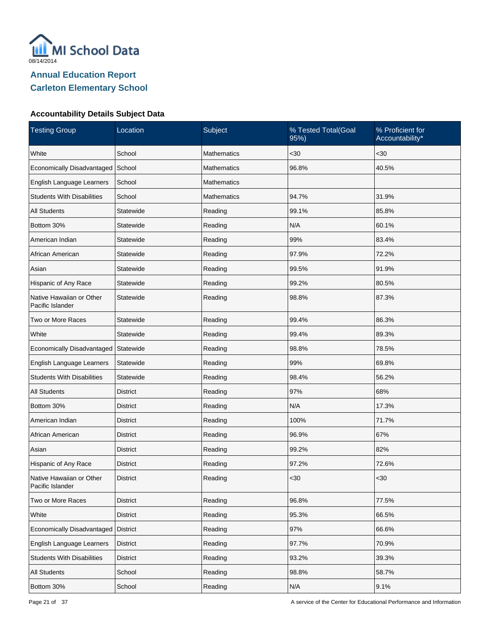

| <b>Testing Group</b>                         | Location        | Subject            | % Tested Total(Goal<br>95%) | % Proficient for<br>Accountability* |
|----------------------------------------------|-----------------|--------------------|-----------------------------|-------------------------------------|
| White                                        | School          | <b>Mathematics</b> | $30$                        | $30$                                |
| Economically Disadvantaged                   | School          | <b>Mathematics</b> | 96.8%                       | 40.5%                               |
| English Language Learners                    | School          | Mathematics        |                             |                                     |
| <b>Students With Disabilities</b>            | School          | <b>Mathematics</b> | 94.7%                       | 31.9%                               |
| <b>All Students</b>                          | Statewide       | Reading            | 99.1%                       | 85.8%                               |
| Bottom 30%                                   | Statewide       | Reading            | N/A                         | 60.1%                               |
| American Indian                              | Statewide       | Reading            | 99%                         | 83.4%                               |
| African American                             | Statewide       | Reading            | 97.9%                       | 72.2%                               |
| Asian                                        | Statewide       | Reading            | 99.5%                       | 91.9%                               |
| Hispanic of Any Race                         | Statewide       | Reading            | 99.2%                       | 80.5%                               |
| Native Hawaiian or Other<br>Pacific Islander | Statewide       | Reading            | 98.8%                       | 87.3%                               |
| Two or More Races                            | Statewide       | Reading            | 99.4%                       | 86.3%                               |
| White                                        | Statewide       | Reading            | 99.4%                       | 89.3%                               |
| Economically Disadvantaged                   | Statewide       | Reading            | 98.8%                       | 78.5%                               |
| English Language Learners                    | Statewide       | Reading            | 99%                         | 69.8%                               |
| <b>Students With Disabilities</b>            | Statewide       | Reading            | 98.4%                       | 56.2%                               |
| <b>All Students</b>                          | <b>District</b> | Reading            | 97%                         | 68%                                 |
| Bottom 30%                                   | District        | Reading            | N/A                         | 17.3%                               |
| American Indian                              | <b>District</b> | Reading            | 100%                        | 71.7%                               |
| African American                             | District        | Reading            | 96.9%                       | 67%                                 |
| Asian                                        | <b>District</b> | Reading            | 99.2%                       | 82%                                 |
| Hispanic of Any Race                         | District        | Reading            | 97.2%                       | 72.6%                               |
| Native Hawaiian or Other<br>Pacific Islander | District        | Reading            | <30                         | $<30$                               |
| Two or More Races                            | <b>District</b> | Reading            | 96.8%                       | 77.5%                               |
| White                                        | <b>District</b> | Reading            | 95.3%                       | 66.5%                               |
| Economically Disadvantaged                   | District        | Reading            | 97%                         | 66.6%                               |
| English Language Learners                    | <b>District</b> | Reading            | 97.7%                       | 70.9%                               |
| <b>Students With Disabilities</b>            | <b>District</b> | Reading            | 93.2%                       | 39.3%                               |
| <b>All Students</b>                          | School          | Reading            | 98.8%                       | 58.7%                               |
| Bottom 30%                                   | School          | Reading            | N/A                         | 9.1%                                |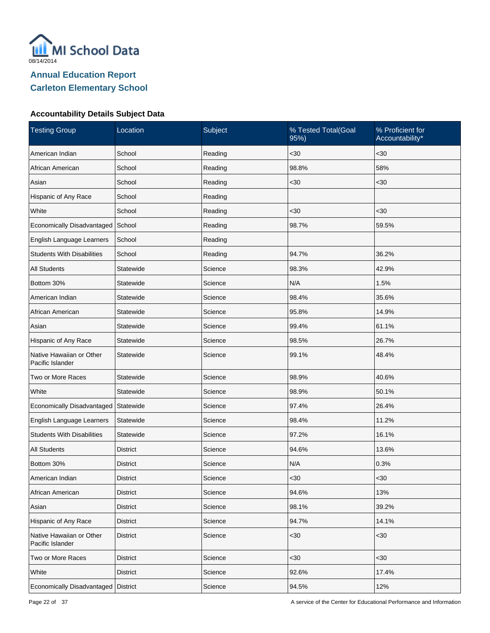

| <b>Testing Group</b>                         | Location        | Subject | % Tested Total(Goal<br>95%) | % Proficient for<br>Accountability* |
|----------------------------------------------|-----------------|---------|-----------------------------|-------------------------------------|
| American Indian                              | School          | Reading | $30$                        | $30$                                |
| African American                             | School          | Reading | 98.8%                       | 58%                                 |
| Asian                                        | School          | Reading | $30$                        | $30$                                |
| Hispanic of Any Race                         | School          | Reading |                             |                                     |
| White                                        | School          | Reading | $30$                        | $30$                                |
| Economically Disadvantaged                   | School          | Reading | 98.7%                       | 59.5%                               |
| English Language Learners                    | School          | Reading |                             |                                     |
| <b>Students With Disabilities</b>            | School          | Reading | 94.7%                       | 36.2%                               |
| <b>All Students</b>                          | Statewide       | Science | 98.3%                       | 42.9%                               |
| Bottom 30%                                   | Statewide       | Science | N/A                         | 1.5%                                |
| American Indian                              | Statewide       | Science | 98.4%                       | 35.6%                               |
| African American                             | Statewide       | Science | 95.8%                       | 14.9%                               |
| Asian                                        | Statewide       | Science | 99.4%                       | 61.1%                               |
| Hispanic of Any Race                         | Statewide       | Science | 98.5%                       | 26.7%                               |
| Native Hawaiian or Other<br>Pacific Islander | Statewide       | Science | 99.1%                       | 48.4%                               |
| Two or More Races                            | Statewide       | Science | 98.9%                       | 40.6%                               |
| White                                        | Statewide       | Science | 98.9%                       | 50.1%                               |
| Economically Disadvantaged                   | Statewide       | Science | 97.4%                       | 26.4%                               |
| English Language Learners                    | Statewide       | Science | 98.4%                       | 11.2%                               |
| <b>Students With Disabilities</b>            | Statewide       | Science | 97.2%                       | 16.1%                               |
| <b>All Students</b>                          | <b>District</b> | Science | 94.6%                       | 13.6%                               |
| Bottom 30%                                   | District        | Science | N/A                         | 0.3%                                |
| American Indian                              | <b>District</b> | Science | <30                         | $30$                                |
| African American                             | <b>District</b> | Science | 94.6%                       | 13%                                 |
| Asian                                        | <b>District</b> | Science | 98.1%                       | 39.2%                               |
| Hispanic of Any Race                         | <b>District</b> | Science | 94.7%                       | 14.1%                               |
| Native Hawaiian or Other<br>Pacific Islander | <b>District</b> | Science | $30$                        | $30$                                |
| Two or More Races                            | <b>District</b> | Science | $30$                        | <30                                 |
| White                                        | <b>District</b> | Science | 92.6%                       | 17.4%                               |
| Economically Disadvantaged                   | <b>District</b> | Science | 94.5%                       | 12%                                 |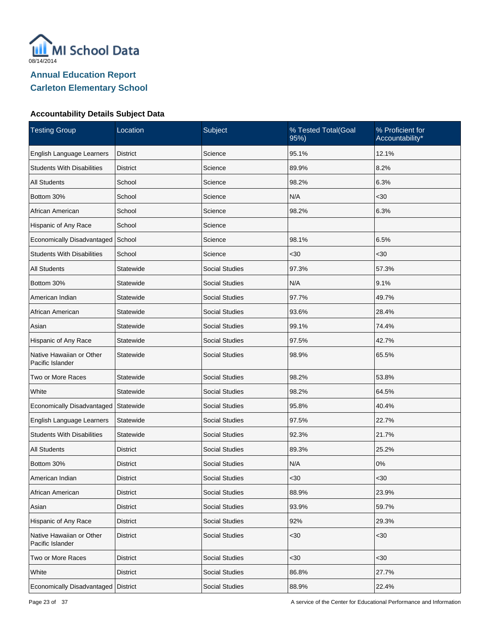

| <b>Testing Group</b>                         | Location        | Subject               | % Tested Total(Goal<br>95%) | % Proficient for<br>Accountability* |
|----------------------------------------------|-----------------|-----------------------|-----------------------------|-------------------------------------|
| English Language Learners                    | District        | Science               | 95.1%                       | 12.1%                               |
| <b>Students With Disabilities</b>            | District        | Science               | 89.9%                       | 8.2%                                |
| <b>All Students</b>                          | School          | Science               | 98.2%                       | 6.3%                                |
| Bottom 30%                                   | School          | Science               | N/A                         | $30$                                |
| African American                             | School          | Science               | 98.2%                       | 6.3%                                |
| Hispanic of Any Race                         | School          | Science               |                             |                                     |
| Economically Disadvantaged                   | School          | Science               | 98.1%                       | 6.5%                                |
| <b>Students With Disabilities</b>            | School          | Science               | $30$                        | $30$                                |
| <b>All Students</b>                          | Statewide       | <b>Social Studies</b> | 97.3%                       | 57.3%                               |
| Bottom 30%                                   | Statewide       | <b>Social Studies</b> | N/A                         | 9.1%                                |
| American Indian                              | Statewide       | <b>Social Studies</b> | 97.7%                       | 49.7%                               |
| African American                             | Statewide       | <b>Social Studies</b> | 93.6%                       | 28.4%                               |
| Asian                                        | Statewide       | <b>Social Studies</b> | 99.1%                       | 74.4%                               |
| Hispanic of Any Race                         | Statewide       | <b>Social Studies</b> | 97.5%                       | 42.7%                               |
| Native Hawaiian or Other<br>Pacific Islander | Statewide       | <b>Social Studies</b> | 98.9%                       | 65.5%                               |
| Two or More Races                            | Statewide       | <b>Social Studies</b> | 98.2%                       | 53.8%                               |
| White                                        | Statewide       | <b>Social Studies</b> | 98.2%                       | 64.5%                               |
| Economically Disadvantaged                   | Statewide       | <b>Social Studies</b> | 95.8%                       | 40.4%                               |
| English Language Learners                    | Statewide       | <b>Social Studies</b> | 97.5%                       | 22.7%                               |
| <b>Students With Disabilities</b>            | Statewide       | <b>Social Studies</b> | 92.3%                       | 21.7%                               |
| <b>All Students</b>                          | <b>District</b> | <b>Social Studies</b> | 89.3%                       | 25.2%                               |
| Bottom 30%                                   | District        | <b>Social Studies</b> | N/A                         | 0%                                  |
| American Indian                              | <b>District</b> | <b>Social Studies</b> | <30                         | $30$                                |
| African American                             | <b>District</b> | <b>Social Studies</b> | 88.9%                       | 23.9%                               |
| Asian                                        | <b>District</b> | <b>Social Studies</b> | 93.9%                       | 59.7%                               |
| Hispanic of Any Race                         | <b>District</b> | <b>Social Studies</b> | 92%                         | 29.3%                               |
| Native Hawaiian or Other<br>Pacific Islander | <b>District</b> | <b>Social Studies</b> | $30$                        | $30$                                |
| Two or More Races                            | <b>District</b> | <b>Social Studies</b> | $30$                        | <30                                 |
| White                                        | <b>District</b> | <b>Social Studies</b> | 86.8%                       | 27.7%                               |
| Economically Disadvantaged                   | District        | Social Studies        | 88.9%                       | 22.4%                               |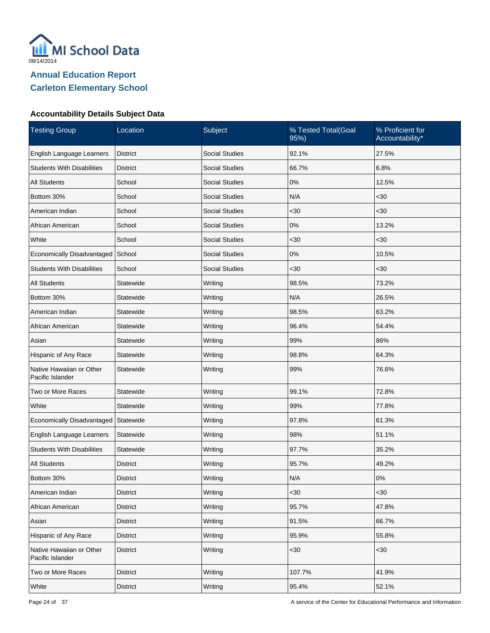

| <b>Testing Group</b>                         | Location        | Subject               | % Tested Total(Goal<br>95%) | % Proficient for<br>Accountability* |
|----------------------------------------------|-----------------|-----------------------|-----------------------------|-------------------------------------|
| English Language Learners                    | <b>District</b> | <b>Social Studies</b> | 92.1%                       | 27.5%                               |
| <b>Students With Disabilities</b>            | District        | <b>Social Studies</b> | 66.7%                       | 6.8%                                |
| <b>All Students</b>                          | School          | <b>Social Studies</b> | 0%                          | 12.5%                               |
| Bottom 30%                                   | School          | <b>Social Studies</b> | N/A                         | $30$                                |
| American Indian                              | School          | <b>Social Studies</b> | $30$                        | $30$                                |
| African American                             | School          | <b>Social Studies</b> | 0%                          | 13.2%                               |
| White                                        | School          | <b>Social Studies</b> | $30$                        | $30$                                |
| Economically Disadvantaged                   | School          | <b>Social Studies</b> | 0%                          | 10.5%                               |
| <b>Students With Disabilities</b>            | School          | <b>Social Studies</b> | $30$                        | $30$                                |
| <b>All Students</b>                          | Statewide       | Writing               | 98.5%                       | 73.2%                               |
| Bottom 30%                                   | Statewide       | Writing               | N/A                         | 26.5%                               |
| American Indian                              | Statewide       | Writing               | 98.5%                       | 63.2%                               |
| African American                             | Statewide       | Writing               | 96.4%                       | 54.4%                               |
| Asian                                        | Statewide       | Writing               | 99%                         | 86%                                 |
| Hispanic of Any Race                         | Statewide       | Writing               | 98.8%                       | 64.3%                               |
| Native Hawaiian or Other<br>Pacific Islander | Statewide       | Writing               | 99%                         | 76.6%                               |
| Two or More Races                            | Statewide       | Writing               | 99.1%                       | 72.8%                               |
| White                                        | Statewide       | Writing               | 99%                         | 77.8%                               |
| Economically Disadvantaged                   | Statewide       | Writing               | 97.8%                       | 61.3%                               |
| English Language Learners                    | Statewide       | Writing               | 98%                         | 51.1%                               |
| <b>Students With Disabilities</b>            | Statewide       | Writing               | 97.7%                       | 35.2%                               |
| <b>All Students</b>                          | <b>District</b> | Writing               | 95.7%                       | 49.2%                               |
| Bottom 30%                                   | <b>District</b> | Writing               | N/A                         | 0%                                  |
| American Indian                              | <b>District</b> | Writing               | $30$                        | $30$                                |
| African American                             | <b>District</b> | Writing               | 95.7%                       | 47.8%                               |
| Asian                                        | <b>District</b> | Writing               | 91.5%                       | 66.7%                               |
| Hispanic of Any Race                         | <b>District</b> | Writing               | 95.9%                       | 55.8%                               |
| Native Hawaiian or Other<br>Pacific Islander | <b>District</b> | Writing               | $30$                        | $<30$                               |
| Two or More Races                            | <b>District</b> | Writing               | 107.7%                      | 41.9%                               |
| White                                        | <b>District</b> | Writing               | 95.4%                       | 52.1%                               |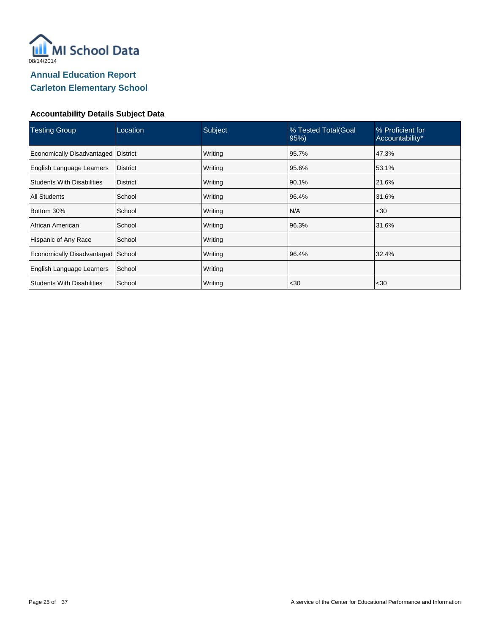

| <b>Testing Group</b>                  | Location        | Subject | % Tested Total(Goal<br>95% | % Proficient for<br>Accountability* |
|---------------------------------------|-----------------|---------|----------------------------|-------------------------------------|
| Economically Disadvantaged   District |                 | Writing | 95.7%                      | 47.3%                               |
| English Language Learners             | <b>District</b> | Writing | 95.6%                      | 53.1%                               |
| <b>Students With Disabilities</b>     | <b>District</b> | Writing | 90.1%                      | 21.6%                               |
| <b>All Students</b>                   | School          | Writing | 96.4%                      | 31.6%                               |
| Bottom 30%                            | School          | Writing | N/A                        | $30$                                |
| African American                      | School          | Writing | 96.3%                      | 31.6%                               |
| Hispanic of Any Race                  | School          | Writing |                            |                                     |
| Economically Disadvantaged            | School          | Writing | 96.4%                      | 32.4%                               |
| English Language Learners             | School          | Writing |                            |                                     |
| <b>Students With Disabilities</b>     | School          | Writing | $30$                       | <30                                 |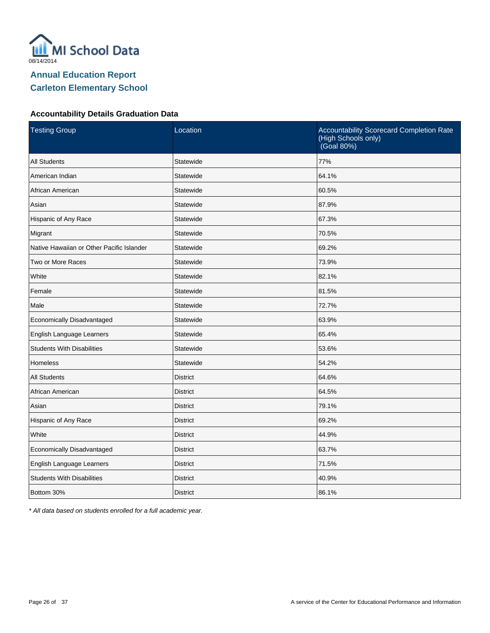

#### **Accountability Details Graduation Data**

| <b>Testing Group</b>                      | Location        | Accountability Scorecard Completion Rate<br>(High Schools only)<br>(Goal 80%) |
|-------------------------------------------|-----------------|-------------------------------------------------------------------------------|
| <b>All Students</b>                       | Statewide       | 77%                                                                           |
| American Indian                           | Statewide       | 64.1%                                                                         |
| African American                          | Statewide       | 60.5%                                                                         |
| Asian                                     | Statewide       | 87.9%                                                                         |
| Hispanic of Any Race                      | Statewide       | 67.3%                                                                         |
| Migrant                                   | Statewide       | 70.5%                                                                         |
| Native Hawaiian or Other Pacific Islander | Statewide       | 69.2%                                                                         |
| Two or More Races                         | Statewide       | 73.9%                                                                         |
| White                                     | Statewide       | 82.1%                                                                         |
| Female                                    | Statewide       | 81.5%                                                                         |
| Male                                      | Statewide       | 72.7%                                                                         |
| Economically Disadvantaged                | Statewide       | 63.9%                                                                         |
| English Language Learners                 | Statewide       | 65.4%                                                                         |
| <b>Students With Disabilities</b>         | Statewide       | 53.6%                                                                         |
| <b>Homeless</b>                           | Statewide       | 54.2%                                                                         |
| <b>All Students</b>                       | <b>District</b> | 64.6%                                                                         |
| African American                          | <b>District</b> | 64.5%                                                                         |
| Asian                                     | <b>District</b> | 79.1%                                                                         |
| Hispanic of Any Race                      | <b>District</b> | 69.2%                                                                         |
| White                                     | <b>District</b> | 44.9%                                                                         |
| Economically Disadvantaged                | <b>District</b> | 63.7%                                                                         |
| English Language Learners                 | <b>District</b> | 71.5%                                                                         |
| <b>Students With Disabilities</b>         | <b>District</b> | 40.9%                                                                         |
| Bottom 30%                                | <b>District</b> | 86.1%                                                                         |

\* All data based on students enrolled for a full academic year.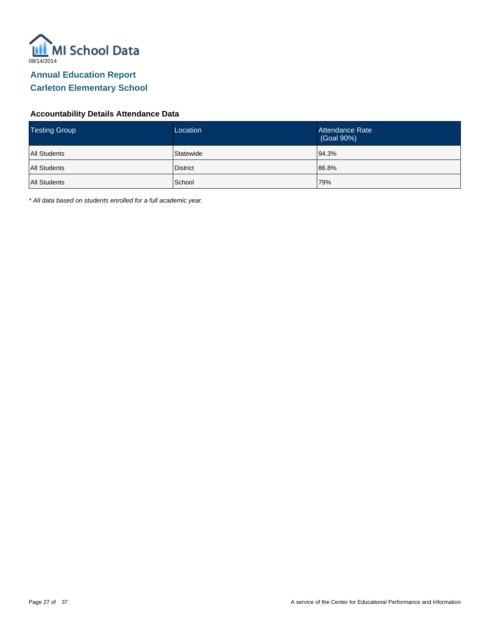

### **Accountability Details Attendance Data**

| <b>Testing Group</b> | Location        | Attendance Rate<br>(Goal 90%) |
|----------------------|-----------------|-------------------------------|
| <b>All Students</b>  | Statewide       | 94.3%                         |
| <b>All Students</b>  | <b>District</b> | 86.8%                         |
| <b>All Students</b>  | School          | 79%                           |

\* All data based on students enrolled for a full academic year.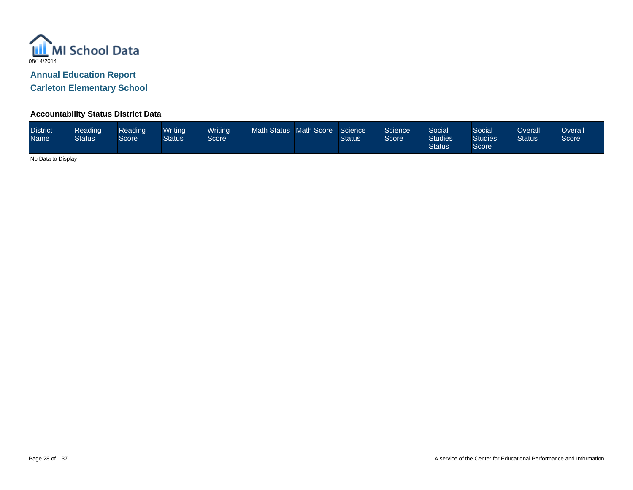

**Carleton Elementary School**

### **Accountability Status District Data**

| <b>District</b><br><b>Name</b> | Reading<br><b>Status</b> | Reading<br>Score | Writinal<br><b>Status</b> | <b>Writing</b><br>Score <sup>'</sup> | Math Status Math Score |  | Science<br><b>Status</b> | Science<br>Score | Social<br><b>Studies</b><br><b>Status</b> | Social<br><b>Studies</b><br>Score | Overall<br><b>Status</b> | Overall<br>Score |
|--------------------------------|--------------------------|------------------|---------------------------|--------------------------------------|------------------------|--|--------------------------|------------------|-------------------------------------------|-----------------------------------|--------------------------|------------------|
|--------------------------------|--------------------------|------------------|---------------------------|--------------------------------------|------------------------|--|--------------------------|------------------|-------------------------------------------|-----------------------------------|--------------------------|------------------|

No Data to Display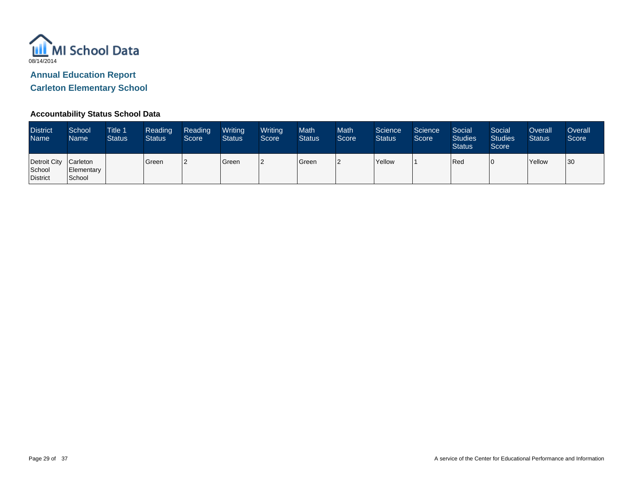

**Carleton Elementary School**

### **Accountability Status School Data**

| <b>District</b><br><b>Name</b>              | School<br>Name       | <b>Title 1</b><br><b>Status</b> | Reading<br><b>Status</b> | Reading<br>Score | Writing<br><b>Status</b> | Writing<br>Score | <b>Math</b><br><b>Status</b> | <b>Math</b><br>Score | Science<br><b>Status</b> | Science<br>Score | Social<br><b>Studies</b><br><b>Status</b> | Social<br><b>Studies</b><br>Score | Overall<br><b>Status</b> | Overall<br>Score |
|---------------------------------------------|----------------------|---------------------------------|--------------------------|------------------|--------------------------|------------------|------------------------------|----------------------|--------------------------|------------------|-------------------------------------------|-----------------------------------|--------------------------|------------------|
| Detroit City Carleton<br>School<br>District | Elementary<br>School |                                 | Green                    |                  | Green                    |                  | Green                        | 2                    | <b>Yellow</b>            |                  | Red                                       |                                   | Yellow                   | 30               |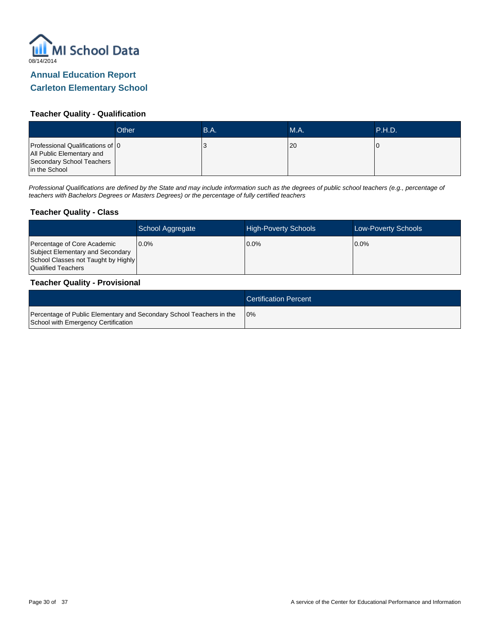

## **Carleton Elementary School**

### **Teacher Quality - Qualification**

|                                                                                                             | Other | B.A. | MA.  | <b>P.H.D.</b> |
|-------------------------------------------------------------------------------------------------------------|-------|------|------|---------------|
| Professional Qualifications of 0<br>All Public Elementary and<br>Secondary School Teachers<br>in the School |       | ັ    | l 20 |               |

Professional Qualifications are defined by the State and may include information such as the degrees of public school teachers (e.g., percentage of teachers with Bachelors Degrees or Masters Degrees) or the percentage of fully certified teachers

#### **Teacher Quality - Class**

|                                                                                                                              | School Aggregate | <b>High-Poverty Schools</b> | <b>Low-Poverty Schools</b> |
|------------------------------------------------------------------------------------------------------------------------------|------------------|-----------------------------|----------------------------|
| Percentage of Core Academic<br>Subject Elementary and Secondary<br>School Classes not Taught by Highly<br>Qualified Teachers | 10.0%            | 0.0%                        | $0.0\%$                    |

#### **Teacher Quality - Provisional**

|                                                                                                             | <b>Certification Percent</b> |
|-------------------------------------------------------------------------------------------------------------|------------------------------|
| Percentage of Public Elementary and Secondary School Teachers in the<br>School with Emergency Certification | 10%                          |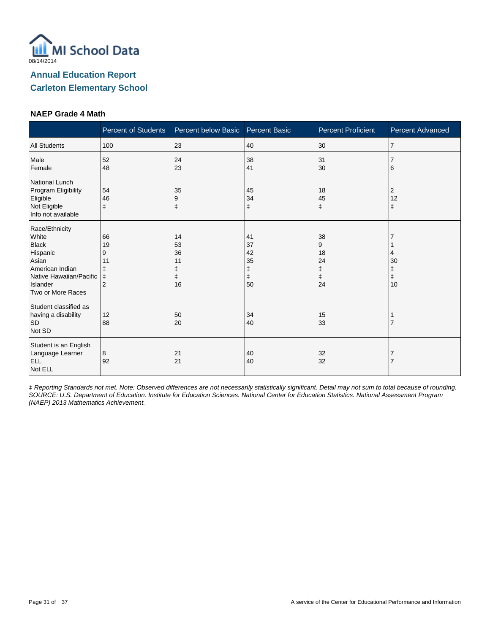

### **NAEP Grade 4 Math**

|                                                                                                                                             | <b>Percent of Students</b>                               | Percent below Basic        | <b>Percent Basic</b>                 | <b>Percent Proficient</b>                    | <b>Percent Advanced</b> |
|---------------------------------------------------------------------------------------------------------------------------------------------|----------------------------------------------------------|----------------------------|--------------------------------------|----------------------------------------------|-------------------------|
| <b>All Students</b>                                                                                                                         | 100                                                      | 23                         | 40                                   | 30                                           | $\overline{7}$          |
| Male<br>Female                                                                                                                              | 52<br>48                                                 | 24<br>23                   | 38<br>41                             | 31<br>30                                     | 6                       |
| National Lunch<br>Program Eligibility<br>Eligible<br>Not Eligible<br>Info not available                                                     | 54<br>46<br>$\ddagger$                                   | 35<br>9<br>ŧ               | 45<br>34<br>ŧ                        | 18<br>45<br>$\ddagger$                       | 2<br>12<br>ŧ            |
| Race/Ethnicity<br>White<br><b>Black</b><br>Hispanic<br>Asian<br>American Indian<br>Native Hawaiian/Pacific<br>Islander<br>Two or More Races | 66<br>19<br>9<br>11<br>ŧ<br>$\ddagger$<br>$\overline{2}$ | 14<br>53<br>36<br>11<br>16 | 41<br>37<br>42<br>35<br>ŧ<br>ŧ<br>50 | 38<br>9<br>18<br>24<br>ŧ<br>$\ddagger$<br>24 | 4<br>30<br>ŧ<br>ŧ<br>10 |
| Student classified as<br>having a disability<br><b>SD</b><br>Not SD                                                                         | 12<br>88                                                 | 50<br>20                   | 34<br>40                             | 15<br>33                                     |                         |
| Student is an English<br>Language Learner<br><b>ELL</b><br>Not ELL                                                                          | 8<br>92                                                  | 21<br>21                   | 40<br>40                             | 32<br>32                                     |                         |

‡ Reporting Standards not met. Note: Observed differences are not necessarily statistically significant. Detail may not sum to total because of rounding. SOURCE: U.S. Department of Education. Institute for Education Sciences. National Center for Education Statistics. National Assessment Program (NAEP) 2013 Mathematics Achievement.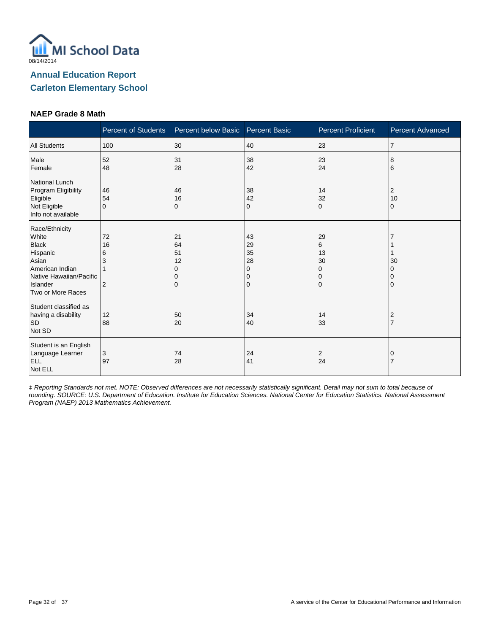

### **NAEP Grade 8 Math**

|                                                                                                                                             | <b>Percent of Students</b>           | Percent below Basic       | <b>Percent Basic</b>                | <b>Percent Proficient</b>                 | Percent Advanced |
|---------------------------------------------------------------------------------------------------------------------------------------------|--------------------------------------|---------------------------|-------------------------------------|-------------------------------------------|------------------|
| <b>All Students</b>                                                                                                                         | 100                                  | 30                        | 40                                  | 23                                        | $\overline{7}$   |
| Male<br>Female                                                                                                                              | 52<br>48                             | 31<br>28                  | 38<br>42                            | 23<br>24                                  | 8<br>6           |
| National Lunch<br>Program Eligibility<br>Eligible<br>Not Eligible<br>Info not available                                                     | 46<br>54<br>$\Omega$                 | 46<br>16<br>0             | 38<br>42<br>0                       | 14<br>32<br>$\Omega$                      | 2<br>10<br>0     |
| Race/Ethnicity<br>White<br><b>Black</b><br>Hispanic<br>Asian<br>American Indian<br>Native Hawaiian/Pacific<br>Islander<br>Two or More Races | 72<br>16<br>6<br>3<br>$\overline{2}$ | 21<br>64<br>51<br>12<br>0 | 43<br>29<br>35<br>28<br>0<br>0<br>0 | 29<br>6<br>13<br>30<br>0<br>0<br>$\Omega$ | 30<br>0          |
| Student classified as<br>having a disability<br><b>SD</b><br>Not SD                                                                         | 12<br>88                             | 50<br>20                  | 34<br>40                            | 14<br>33                                  | 2                |
| Student is an English<br>Language Learner<br><b>ELL</b><br>Not ELL                                                                          | 3<br>97                              | 74<br>28                  | 24<br>41                            | 2<br>24                                   |                  |

‡ Reporting Standards not met. NOTE: Observed differences are not necessarily statistically significant. Detail may not sum to total because of rounding. SOURCE: U.S. Department of Education. Institute for Education Sciences. National Center for Education Statistics. National Assessment Program (NAEP) 2013 Mathematics Achievement.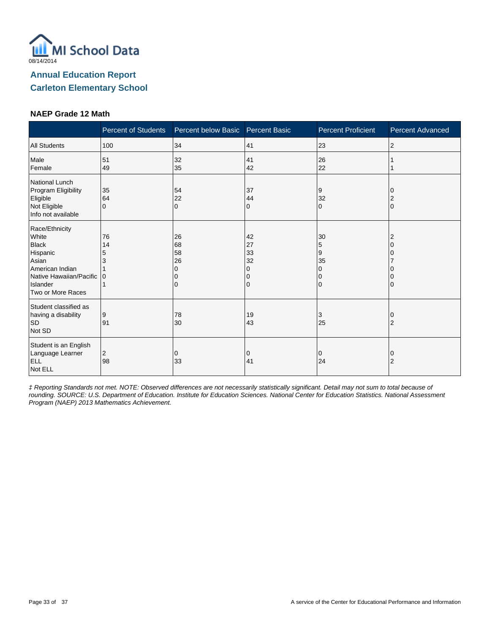

#### **NAEP Grade 12 Math**

|                                                                                                                                             | <b>Percent of Students</b> | Percent below Basic            | <b>Percent Basic</b>                | <b>Percent Proficient</b>                   | <b>Percent Advanced</b> |
|---------------------------------------------------------------------------------------------------------------------------------------------|----------------------------|--------------------------------|-------------------------------------|---------------------------------------------|-------------------------|
| <b>All Students</b>                                                                                                                         | 100                        | 34                             | 41                                  | 23                                          | $\overline{c}$          |
| Male<br>Female                                                                                                                              | 51<br>49                   | 32<br>35                       | 41<br>42                            | 26<br>22                                    |                         |
| <b>National Lunch</b><br>Program Eligibility<br>Eligible<br>Not Eligible<br>Info not available                                              | 35<br>64<br>$\Omega$       | 54<br>22<br>$\Omega$           | 37<br>44<br>0                       | 9<br>32<br>$\mathbf 0$                      | $\Omega$                |
| Race/Ethnicity<br>White<br><b>Black</b><br>Hispanic<br>Asian<br>American Indian<br>Native Hawaiian/Pacific<br>Islander<br>Two or More Races | 76<br>14<br>5<br>IО        | 26<br>68<br>58<br>26<br>O<br>0 | 42<br>27<br>33<br>32<br>0<br>0<br>0 | 30<br>5<br>9<br>35<br>0<br>0<br>$\mathbf 0$ |                         |
| Student classified as<br>having a disability<br><b>SD</b><br>Not SD                                                                         | 9<br>91                    | 78<br>30                       | 19<br>43                            | 3<br>25                                     | 0<br>2                  |
| Student is an English<br>Language Learner<br><b>ELL</b><br>Not ELL                                                                          | 2<br>98                    | 0<br>33                        | 0<br>41                             | $\mathbf 0$<br>24                           | 0<br>2                  |

‡ Reporting Standards not met. NOTE: Observed differences are not necessarily statistically significant. Detail may not sum to total because of rounding. SOURCE: U.S. Department of Education. Institute for Education Sciences. National Center for Education Statistics. National Assessment Program (NAEP) 2013 Mathematics Achievement.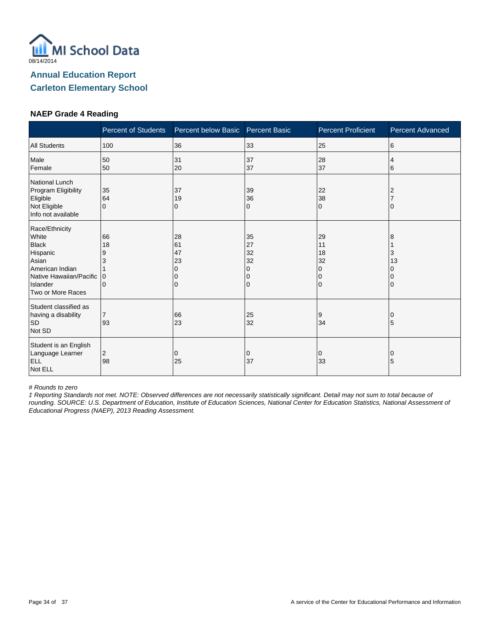

### **NAEP Grade 4 Reading**

|                                                                                                                                             | <b>Percent of Students</b>          | Percent below Basic            | <b>Percent Basic</b>                | <b>Percent Proficient</b>                                   | <b>Percent Advanced</b> |
|---------------------------------------------------------------------------------------------------------------------------------------------|-------------------------------------|--------------------------------|-------------------------------------|-------------------------------------------------------------|-------------------------|
| <b>All Students</b>                                                                                                                         | 100                                 | 36                             | 33                                  | 25                                                          | 6                       |
| Male<br>Female                                                                                                                              | 50<br>50                            | 31<br>20                       | 37<br>37                            | 28<br>37                                                    | 4<br>6                  |
| National Lunch<br>Program Eligibility<br>Eligible<br>Not Eligible<br>Info not available                                                     | 35<br>64<br>$\Omega$                | 37<br>19<br>0                  | 39<br>36<br>0                       | 22<br>38<br>$\mathbf 0$                                     |                         |
| Race/Ethnicity<br>White<br><b>Black</b><br>Hispanic<br>Asian<br>American Indian<br>Native Hawaiian/Pacific<br>Islander<br>Two or More Races | 66<br>18<br>9<br>3<br>$\Omega$<br>0 | 28<br>61<br>47<br>23<br>O<br>0 | 35<br>27<br>32<br>32<br>0<br>0<br>0 | 29<br>11<br>18<br>32<br>$\Omega$<br>$\Omega$<br>$\mathbf 0$ | 8<br>3<br>13            |
| Student classified as<br>having a disability<br><b>SD</b><br>Not SD                                                                         | $\overline{7}$<br>93                | 66<br>23                       | 25<br>32                            | 9<br>34                                                     | O<br>5                  |
| Student is an English<br>Language Learner<br><b>ELL</b><br>Not ELL                                                                          | 2<br>98                             | 0<br>25                        | 0<br>37                             | 0<br>33                                                     | 0<br>5                  |

# Rounds to zero

‡ Reporting Standards not met. NOTE: Observed differences are not necessarily statistically significant. Detail may not sum to total because of rounding. SOURCE: U.S. Department of Education, Institute of Education Sciences, National Center for Education Statistics, National Assessment of Educational Progress (NAEP), 2013 Reading Assessment.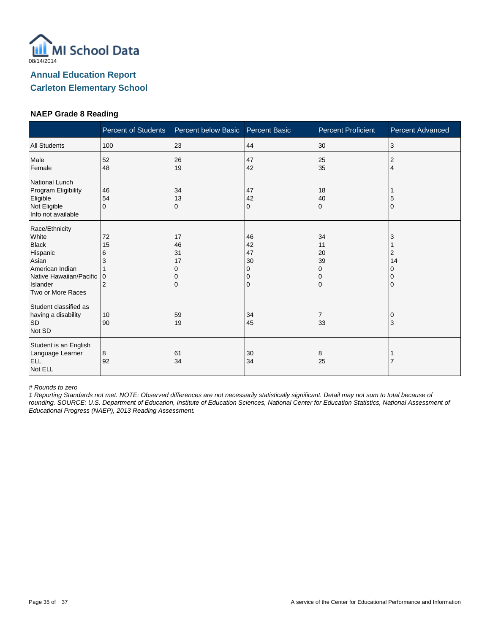

### **NAEP Grade 8 Reading**

|                                                                                                                                             | <b>Percent of Students</b>                | Percent below Basic       | <b>Percent Basic</b>                | <b>Percent Proficient</b>                     | Percent Advanced  |
|---------------------------------------------------------------------------------------------------------------------------------------------|-------------------------------------------|---------------------------|-------------------------------------|-----------------------------------------------|-------------------|
| <b>All Students</b>                                                                                                                         | 100                                       | 23                        | 44                                  | 30                                            | 3                 |
| Male<br>Female                                                                                                                              | 52<br>48                                  | 26<br>19                  | 47<br>42                            | 25<br>35                                      | 2<br>4            |
| National Lunch<br>Program Eligibility<br>Eligible<br>Not Eligible<br>Info not available                                                     | 46<br>54<br>$\Omega$                      | 34<br>13<br>0             | 47<br>42<br>0                       | 18<br>40<br>$\Omega$                          | 5<br>$\mathbf{0}$ |
| Race/Ethnicity<br>White<br><b>Black</b><br>Hispanic<br>Asian<br>American Indian<br>Native Hawaiian/Pacific<br>Islander<br>Two or More Races | 72<br>15<br>6<br>3<br>0<br>$\overline{2}$ | 17<br>46<br>31<br>17<br>0 | 46<br>42<br>47<br>30<br>0<br>0<br>0 | 34<br>11<br>20<br>39<br>0<br>0<br>$\mathbf 0$ | 3<br>2<br>14      |
| Student classified as<br>having a disability<br><b>SD</b><br>Not SD                                                                         | 10<br>90                                  | 59<br>19                  | 34<br>45                            | $\overline{7}$<br>33                          | 3                 |
| Student is an English<br>Language Learner<br>ELL<br>Not ELL                                                                                 | 8<br>92                                   | 61<br>34                  | 30<br>34                            | 8<br>25                                       |                   |

# Rounds to zero

‡ Reporting Standards not met. NOTE: Observed differences are not necessarily statistically significant. Detail may not sum to total because of rounding. SOURCE: U.S. Department of Education, Institute of Education Sciences, National Center for Education Statistics, National Assessment of Educational Progress (NAEP), 2013 Reading Assessment.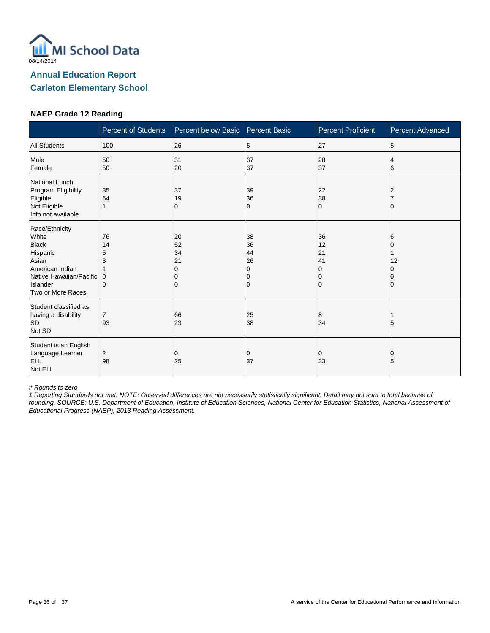

### **NAEP Grade 12 Reading**

|                                                                                                                                             | <b>Percent of Students</b>                    | Percent below Basic            | <b>Percent Basic</b>                | <b>Percent Proficient</b>                                   | <b>Percent Advanced</b> |
|---------------------------------------------------------------------------------------------------------------------------------------------|-----------------------------------------------|--------------------------------|-------------------------------------|-------------------------------------------------------------|-------------------------|
| <b>All Students</b>                                                                                                                         | 100                                           | 26                             | 5                                   | 27                                                          | 5                       |
| Male<br>Female                                                                                                                              | 50<br>50                                      | 31<br>20                       | 37<br>37                            | 28<br>37                                                    | 4<br>6                  |
| National Lunch<br>Program Eligibility<br>Eligible<br>Not Eligible<br>Info not available                                                     | 35<br>64                                      | 37<br>19<br>0                  | 39<br>36<br>0                       | 22<br>38<br>$\Omega$                                        |                         |
| Race/Ethnicity<br>White<br><b>Black</b><br>Hispanic<br>Asian<br>American Indian<br>Native Hawaiian/Pacific<br>Islander<br>Two or More Races | 76<br>14<br>5<br>3<br>$\Omega$<br>$\mathbf 0$ | 20<br>52<br>34<br>21<br>O<br>0 | 38<br>36<br>44<br>26<br>0<br>0<br>0 | 36<br>12<br>21<br>41<br>$\Omega$<br>$\Omega$<br>$\mathbf 0$ | 6<br>12                 |
| Student classified as<br>having a disability<br><b>SD</b><br>Not SD                                                                         | $\overline{7}$<br>93                          | 66<br>23                       | 25<br>38                            | 8<br>34                                                     | 5                       |
| Student is an English<br>Language Learner<br><b>ELL</b><br>Not ELL                                                                          | 2<br>98                                       | 0<br>25                        | 0<br>37                             | 0<br>33                                                     | 0<br>5                  |

# Rounds to zero

‡ Reporting Standards not met. NOTE: Observed differences are not necessarily statistically significant. Detail may not sum to total because of rounding. SOURCE: U.S. Department of Education, Institute of Education Sciences, National Center for Education Statistics, National Assessment of Educational Progress (NAEP), 2013 Reading Assessment.